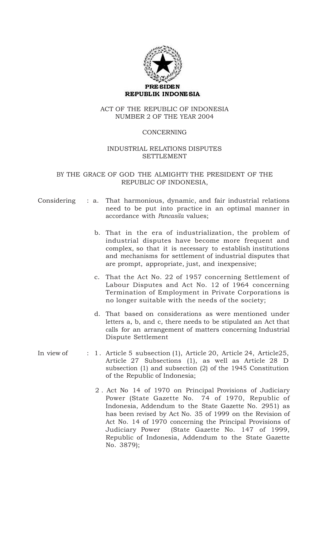

# ACT OF THE REPUBLIC OF INDONESIA NUMBER 2 OF THE YEAR 2004

# CONCERNING

# INDUSTRIAL RELATIONS DISPUTES SETTLEMENT

# BY THE GRACE OF GOD THE ALMIGHTY THE PRESIDENT OF THE REPUBLIC OF INDONESIA,

|  | Considering : a. That harmonious, dynamic, and fair industrial relations                         |
|--|--------------------------------------------------------------------------------------------------|
|  | need to be put into practice in an optimal manner in<br>accordance with <i>Pancasila</i> values; |
|  |                                                                                                  |

- b. That in the era of industrialization, the problem of industrial disputes have become more frequent and complex, so that it is necessary to establish institutions and mechanisms for settlement of industrial disputes that are prompt, appropriate, just, and inexpensive;
- c. That the Act No. 22 of 1957 concerning Settlement of Labour Disputes and Act No. 12 of 1964 concerning Termination of Employment in Private Corporations is no longer suitable with the needs of the society;
- d. That based on considerations as were mentioned under letters a, b, and c, there needs to be stipulated an Act that calls for an arrangement of matters concerning Industrial Dispute Settlement
- In view of : 1. Article 5 subsection (1), Article 20, Article 24, Article25, Article 27 Subsections (1), as well as Article 28 D subsection (1) and subsection (2) of the 1945 Constitution of the Republic of Indonesia;
	- 2 . Act No 14 of 1970 on Principal Provisions of Judiciary Power (State Gazette No. 74 of 1970, Republic of Indonesia, Addendum to the State Gazette No. 2951) as has been revised by Act No. 35 of 1999 on the Revision of Act No. 14 of 1970 concerning the Principal Provisions of Judiciary Power (State Gazette No. 147 of 1999, Republic of Indonesia, Addendum to the State Gazette No. 3879);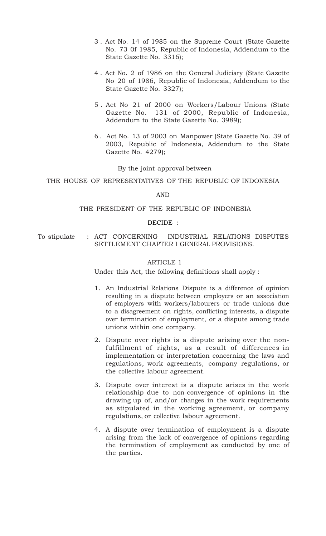- 3 . Act No. 14 of 1985 on the Supreme Court (State Gazette No. 73 0f 1985, Republic of Indonesia, Addendum to the State Gazette No. 3316);
- 4 . Act No. 2 of 1986 on the General Judiciary (State Gazette No 20 of 1986, Republic of Indonesia, Addendum to the State Gazette No. 3327);
- 5 . Act No 21 of 2000 on Workers/Labour Unions (State Gazette No. 131 of 2000, Republic of Indonesia, Addendum to the State Gazette No. 3989);
- 6 . Act No. 13 of 2003 on Manpower (State Gazette No. 39 of 2003, Republic of Indonesia, Addendum to the State Gazette No. 4279);

By the joint approval between

THE HOUSE OF REPRESENTATIVES OF THE REPUBLIC OF INDONESIA

AND

#### THE PRESIDENT OF THE REPUBLIC OF INDONESIA

#### DECIDE :

To stipulate : ACT CONCERNING INDUSTRIAL RELATIONS DISPUTES SETTLEMENT CHAPTER I GENERAL PROVISIONS.

#### ARTICLE 1

Under this Act, the following definitions shall apply :

- 1. An Industrial Relations Dispute is a difference of opinion resulting in a dispute between employers or an association of employers with workers/labourers or trade unions due to a disagreement on rights, conflicting interests, a dispute over termination of employment, or a dispute among trade unions within one company.
- 2. Dispute over rights is a dispute arising over the nonfulfillment of rights, as a result of differences in implementation or interpretation concerning the laws and regulations, work agreements, company regulations, or the collective labour agreement.
- 3. Dispute over interest is a dispute arises in the work relationship due to non-convergence of opinions in the drawing up of, and/or changes in the work requirements as stipulated in the working agreement, or company regulations, or collective labour agreement.
- 4. A dispute over termination of employment is a dispute arising from the lack of convergence of opinions regarding the termination of employment as conducted by one of the parties.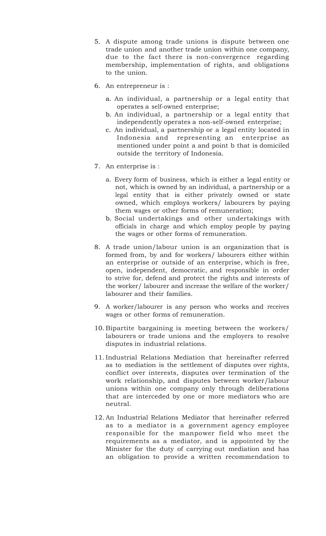- 5. A dispute among trade unions is dispute between one trade union and another trade union within one company, due to the fact there is non-convergence regarding membership, implementation of rights, and obligations to the union.
- 6. An entrepreneur is :
	- a. An individual, a partnership or a legal entity that operates a self-owned enterprise;
	- b. An individual, a partnership or a legal entity that independently operates a non-self-owned enterprise;
	- c. An individual, a partnership or a legal entity located in Indonesia and representing an enterprise as mentioned under point a and point b that is domiciled outside the territory of Indonesia.
- 7. An enterprise is :
	- a. Every form of business, which is either a legal entity or not, which is owned by an individual, a partnership or a legal entity that is either privately owned or state owned, which employs workers/ labourers by paying them wages or other forms of remuneration;
	- b. Social undertakings and other undertakings with officials in charge and which employ people by paying the wages or other forms of remuneration.
- 8. A trade union/labour union is an organization that is formed from, by and for workers/ labourers either within an enterprise or outside of an enterprise, which is free, open, independent, democratic, and responsible in order to strive for, defend and protect the rights and interests of the worker/ labourer and increase the welfare of the worker/ labourer and their families.
- 9. A worker/labourer is any person who works and receives wages or other forms of remuneration.
- 10. Bipartite bargaining is meeting between the workers/ labourers or trade unions and the employers to resolve disputes in industrial relations.
- 11. Industrial Relations Mediation that hereinafter referred as to mediation is the settlement of disputes over rights, conflict over interests, disputes over termination of the work relationship, and disputes between worker/labour unions within one company only through deliberations that are interceded by one or more mediators who are neutral.
- 12. An Industrial Relations Mediator that hereinafter referred as to a mediator is a government agency employee responsible for the manpower field who meet the requirements as a mediator, and is appointed by the Minister for the duty of carrying out mediation and has an obligation to provide a written recommendation to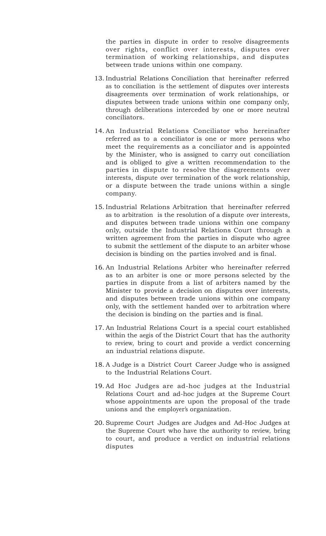the parties in dispute in order to resolve disagreements over rights, conflict over interests, disputes over termination of working relationships, and disputes between trade unions within one company.

- 13. Industrial Relations Conciliation that hereinafter referred as to conciliation is the settlement of disputes over interests disagreements over termination of work relationships, or disputes between trade unions within one company only, through deliberations interceded by one or more neutral conciliators.
- 14. An Industrial Relations Conciliator who hereinafter referred as to a conciliator is one or more persons who meet the requirements as a conciliator and is appointed by the Minister, who is assigned to carry out conciliation and is obliged to give a written recommendation to the parties in dispute to resolve the disagreements over interests, dispute over termination of the work relationship, or a dispute between the trade unions within a single company.
- 15. Industrial Relations Arbitration that hereinafter referred as to arbitration is the resolution of a dispute over interests, and disputes between trade unions within one company only, outside the Industrial Relations Court through a written agreement from the parties in dispute who agree to submit the settlement of the dispute to an arbiter whose decision is binding on the parties involved and is final.
- 16. An Industrial Relations Arbiter who hereinafter referred as to an arbiter is one or more persons selected by the parties in dispute from a list of arbiters named by the Minister to provide a decision on disputes over interests, and disputes between trade unions within one company only, with the settlement handed over to arbitration where the decision is binding on the parties and is final.
- 17. An Industrial Relations Court is a special court established within the aegis of the District Court that has the authority to review, bring to court and provide a verdict concerning an industrial relations dispute.
- 18. A Judge is a District Court Career Judge who is assigned to the Industrial Relations Court.
- 19. Ad Hoc Judges are ad-hoc judges at the Industrial Relations Court and ad-hoc judges at the Supreme Court whose appointments are upon the proposal of the trade unions and the employer's organization.
- 20. Supreme Court Judges are Judges and Ad-Hoc Judges at the Supreme Court who have the authority to review, bring to court, and produce a verdict on industrial relations disputes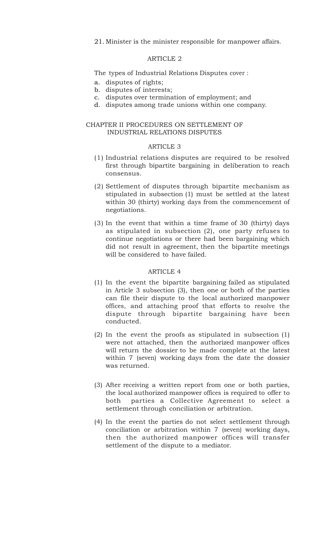21. Minister is the minister responsible for manpower affairs.

### ARTICLE 2

The types of Industrial Relations Disputes cover :

- a. disputes of rights;
- b. disputes of interests;
- c. disputes over termination of employment; and
- d. disputes among trade unions within one company.

## CHAPTER II PROCEDURES ON SETTLEMENT OF INDUSTRIAL RELATIONS DISPUTES

#### ARTICLE 3

- (1) Industrial relations disputes are required to be resolved first through bipartite bargaining in deliberation to reach consensus.
- (2) Settlement of disputes through bipartite mechanism as stipulated in subsection (1) must be settled at the latest within 30 (thirty) working days from the commencement of negotiations.
- (3) In the event that within a time frame of 30 (thirty) days as stipulated in subsection (2), one party refuses to continue negotiations or there had been bargaining which did not result in agreement, then the bipartite meetings will be considered to have failed.

- (1) In the event the bipartite bargaining failed as stipulated in Article 3 subsection (3), then one or both of the parties can file their dispute to the local authorized manpower offices, and attaching proof that efforts to resolve the dispute through bipartite bargaining have been conducted.
- (2) In the event the proofs as stipulated in subsection (1) were not attached, then the authorized manpower offices will return the dossier to be made complete at the latest within 7 (seven) working days from the date the dossier was returned.
- (3) After receiving a written report from one or both parties, the local authorized manpower offices is required to offer to both parties a Collective Agreement to select a settlement through conciliation or arbitration.
- (4) In the event the parties do not select settlement through conciliation or arbitration within 7 (seven) working days, then the authorized manpower offices will transfer settlement of the dispute to a mediator.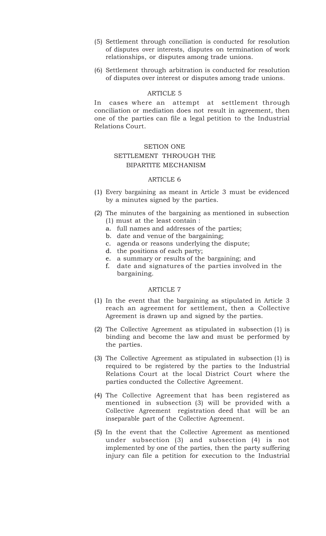- (5) Settlement through conciliation is conducted for resolution of disputes over interests, disputes on termination of work relationships, or disputes among trade unions.
- (6) Settlement through arbitration is conducted for resolution of disputes over interest or disputes among trade unions.

In cases where an attempt at settlement through conciliation or mediation does not result in agreement, then one of the parties can file a legal petition to the Industrial Relations Court.

### SETION ONE

# SETTLEMENT THROUGH THE BIPARTITE MECHANISM

#### ARTICLE 6

- (1) Every bargaining as meant in Article 3 must be evidenced by a minutes signed by the parties.
- (2) The minutes of the bargaining as mentioned in subsection (1) must at the least contain :
	- a. full names and addresses of the parties;
	- b. date and venue of the bargaining;
	- c. agenda or reasons underlying the dispute;
	- d. the positions of each party;
	- e. a summary or results of the bargaining; and
	- f. date and signatures of the parties involved in the bargaining.

- (1) In the event that the bargaining as stipulated in Article 3 reach an agreement for settlement, then a Collective Agreement is drawn up and signed by the parties.
- (2) The Collective Agreement as stipulated in subsection (1) is binding and become the law and must be performed by the parties.
- (3) The Collective Agreement as stipulated in subsection (1) is required to be registered by the parties to the Industrial Relations Court at the local District Court where the parties conducted the Collective Agreement.
- (4) The Collective Agreement that has been registered as mentioned in subsection (3) will be provided with a Collective Agreement registration deed that will be an inseparable part of the Collective Agreement.
- (5) In the event that the Collective Agreement as mentioned under subsection (3) and subsection (4) is not implemented by one of the parties, then the party suffering injury can file a petition for execution to the Industrial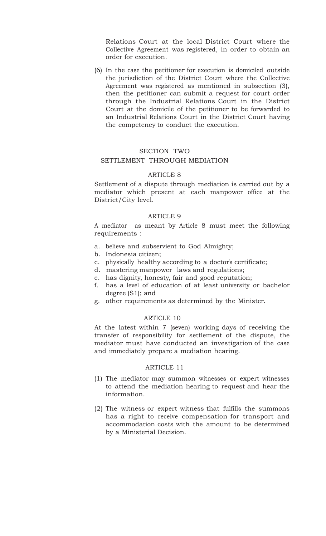Relations Court at the local District Court where the Collective Agreement was registered, in order to obtain an order for execution.

(6) In the case the petitioner for execution is domiciled outside the jurisdiction of the District Court where the Collective Agreement was registered as mentioned in subsection (3), then the petitioner can submit a request for court order through the Industrial Relations Court in the District Court at the domicile of the petitioner to be forwarded to an Industrial Relations Court in the District Court having the competency to conduct the execution.

# SECTION TWO

## SETTLEMENT THROUGH MEDIATION

#### ARTICLE 8

Settlement of a dispute through mediation is carried out by a mediator which present at each manpower office at the District/City level.

### ARTICLE 9

A mediator as meant by Article 8 must meet the following requirements :

- a. believe and subservient to God Almighty;
- b. Indonesia citizen;
- c. physically healthy according to a doctor's certificate;
- d. mastering manpower laws and regulations;
- e. has dignity, honesty, fair and good reputation;
- f. has a level of education of at least university or bachelor degree (S1); and
- g. other requirements as determined by the Minister.

#### ARTICLE 10

At the latest within 7 (seven) working days of receiving the transfer of responsibility for settlement of the dispute, the mediator must have conducted an investigation of the case and immediately prepare a mediation hearing.

- (1) The mediator may summon witnesses or expert witnesses to attend the mediation hearing to request and hear the information.
- (2) The witness or expert witness that fulfills the summons has a right to receive compensation for transport and accommodation costs with the amount to be determined by a Ministerial Decision.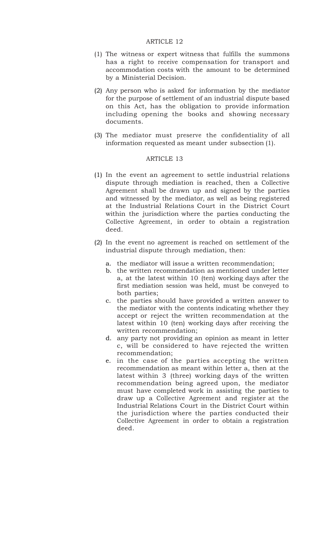- (1) The witness or expert witness that fulfills the summons has a right to receive compensation for transport and accommodation costs with the amount to be determined by a Ministerial Decision.
- (2) Any person who is asked for information by the mediator for the purpose of settlement of an industrial dispute based on this Act, has the obligation to provide information including opening the books and showing necessary documents.
- (3) The mediator must preserve the confidentiality of all information requested as meant under subsection (1).

- (1) In the event an agreement to settle industrial relations dispute through mediation is reached, then a Collective Agreement shall be drawn up and signed by the parties and witnessed by the mediator, as well as being registered at the Industrial Relations Court in the District Court within the jurisdiction where the parties conducting the Collective Agreement, in order to obtain a registration deed.
- (2) In the event no agreement is reached on settlement of the industrial dispute through mediation, then:
	- a. the mediator will issue a written recommendation;
	- b. the written recommendation as mentioned under letter a, at the latest within 10 (ten) working days after the first mediation session was held, must be conveyed to both parties;
	- c. the parties should have provided a written answer to the mediator with the contents indicating whether they accept or reject the written recommendation at the latest within 10 (ten) working days after receiving the written recommendation;
	- d. any party not providing an opinion as meant in letter c, will be considered to have rejected the written recommendation;
	- e. in the case of the parties accepting the written recommendation as meant within letter a, then at the latest within 3 (three) working days of the written recommendation being agreed upon, the mediator must have completed work in assisting the parties to draw up a Collective Agreement and register at the Industrial Relations Court in the District Court within the jurisdiction where the parties conducted their Collective Agreement in order to obtain a registration deed.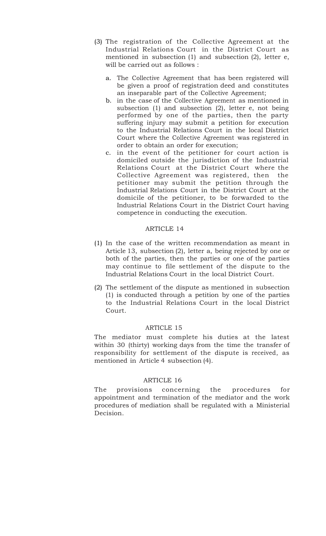- (3) The registration of the Collective Agreement at the Industrial Relations Court in the District Court as mentioned in subsection (1) and subsection (2), letter e, will be carried out as follows :
	- a. The Collective Agreement that has been registered will be given a proof of registration deed and constitutes an inseparable part of the Collective Agreement;
	- b. in the case of the Collective Agreement as mentioned in subsection (1) and subsection (2), letter e, not being performed by one of the parties, then the party suffering injury may submit a petition for execution to the Industrial Relations Court in the local District Court where the Collective Agreement was registered in order to obtain an order for execution;
	- c. in the event of the petitioner for court action is domiciled outside the jurisdiction of the Industrial Relations Court at the District Court where the Collective Agreement was registered, then the petitioner may submit the petition through the Industrial Relations Court in the District Court at the domicile of the petitioner, to be forwarded to the Industrial Relations Court in the District Court having competence in conducting the execution.

- (1) In the case of the written recommendation as meant in Article 13, subsection (2), letter a, being rejected by one or both of the parties, then the parties or one of the parties may continue to file settlement of the dispute to the Industrial Relations Court in the local District Court.
- (2) The settlement of the dispute as mentioned in subsection (1) is conducted through a petition by one of the parties to the Industrial Relations Court in the local District Court.

# ARTICLE 15

The mediator must complete his duties at the latest within 30 (thirty) working days from the time the transfer of responsibility for settlement of the dispute is received, as mentioned in Article 4 subsection (4).

#### ARTICLE 16

The provisions concerning the procedures for appointment and termination of the mediator and the work procedures of mediation shall be regulated with a Ministerial Decision.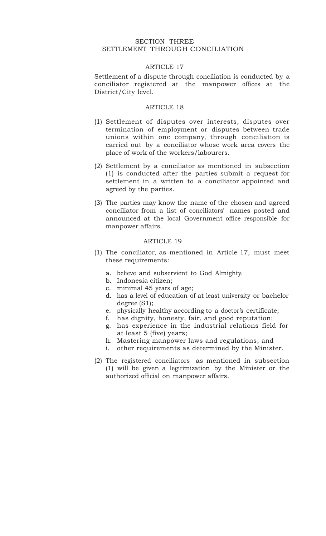### SECTION THREE SETTLEMENT THROUGH CONCILIATION

# ARTICLE 17

Settlement of a dispute through conciliation is conducted by a conciliator registered at the manpower offices at the District/City level.

## ARTICLE 18

- (1) Settlement of disputes over interests, disputes over termination of employment or disputes between trade unions within one company, through conciliation is carried out by a conciliator whose work area covers the place of work of the workers/labourers.
- (2) Settlement by a conciliator as mentioned in subsection (1) is conducted after the parties submit a request for settlement in a written to a conciliator appointed and agreed by the parties.
- (3) The parties may know the name of the chosen and agreed conciliator from a list of conciliators' names posted and announced at the local Government office responsible for manpower affairs.

- (1) The conciliator, as mentioned in Article 17, must meet these requirements:
	- a. believe and subservient to God Almighty.
	- b. Indonesia citizen;
	- c. minimal 45 years of age;
	- d. has a level of education of at least university or bachelor degree (S1);
	- e. physically healthy according to a doctor's certificate;
	- f. has dignity, honesty, fair, and good reputation;
	- g. has experience in the industrial relations field for at least 5 (five) years;
	- h. Mastering manpower laws and regulations; and
	- i. other requirements as determined by the Minister.
- (2) The registered conciliators as mentioned in subsection (1) will be given a legitimization by the Minister or the authorized official on manpower affairs.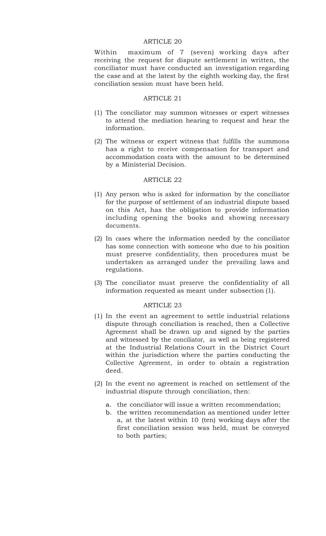Within maximum of 7 (seven) working days after receiving the request for dispute settlement in written, the conciliator must have conducted an investigation regarding the case and at the latest by the eighth working day, the first conciliation session must have been held.

#### ARTICLE 21

- (1) The conciliator may summon witnesses or expert witnesses to attend the mediation hearing to request and hear the information.
- (2) The witness or expert witness that fulfills the summons has a right to receive compensation for transport and accommodation costs with the amount to be determined by a Ministerial Decision.

## ARTICLE 22

- (1) Any person who is asked for information by the conciliator for the purpose of settlement of an industrial dispute based on this Act, has the obligation to provide information including opening the books and showing necessary documents.
- (2) In cases where the information needed by the conciliator has some connection with someone who due to his position must preserve confidentiality, then procedures must be undertaken as arranged under the prevailing laws and regulations.
- (3) The conciliator must preserve the confidentiality of all information requested as meant under subsection (1).

- (1) In the event an agreement to settle industrial relations dispute through conciliation is reached, then a Collective Agreement shall be drawn up and signed by the parties and witnessed by the conciliator, as well as being registered at the Industrial Relations Court in the District Court within the jurisdiction where the parties conducting the Collective Agreement, in order to obtain a registration deed.
- (2) In the event no agreement is reached on settlement of the industrial dispute through conciliation, then:
	- a. the conciliator will issue a written recommendation;
	- b. the written recommendation as mentioned under letter a, at the latest within 10 (ten) working days after the first conciliation session was held, must be conveyed to both parties;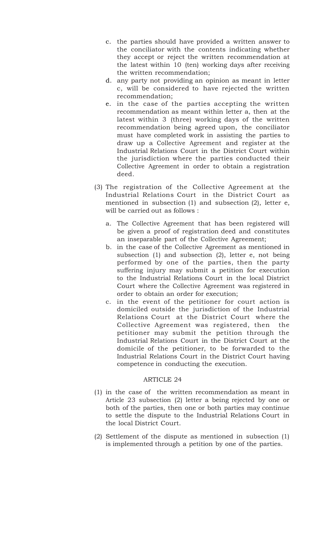- c. the parties should have provided a written answer to the conciliator with the contents indicating whether they accept or reject the written recommendation at the latest within 10 (ten) working days after receiving the written recommendation;
- d. any party not providing an opinion as meant in letter c, will be considered to have rejected the written recommendation;
- e. in the case of the parties accepting the written recommendation as meant within letter a, then at the latest within 3 (three) working days of the written recommendation being agreed upon, the conciliator must have completed work in assisting the parties to draw up a Collective Agreement and register at the Industrial Relations Court in the District Court within the jurisdiction where the parties conducted their Collective Agreement in order to obtain a registration deed.
- (3) The registration of the Collective Agreement at the Industrial Relations Court in the District Court as mentioned in subsection (1) and subsection (2), letter e, will be carried out as follows :
	- a. The Collective Agreement that has been registered will be given a proof of registration deed and constitutes an inseparable part of the Collective Agreement;
	- b. in the case of the Collective Agreement as mentioned in subsection (1) and subsection (2), letter e, not being performed by one of the parties, then the party suffering injury may submit a petition for execution to the Industrial Relations Court in the local District Court where the Collective Agreement was registered in order to obtain an order for execution;
	- c. in the event of the petitioner for court action is domiciled outside the jurisdiction of the Industrial Relations Court at the District Court where the Collective Agreement was registered, then the petitioner may submit the petition through the Industrial Relations Court in the District Court at the domicile of the petitioner, to be forwarded to the Industrial Relations Court in the District Court having competence in conducting the execution.

- (1) in the case of the written recommendation as meant in Article 23 subsection (2) letter a being rejected by one or both of the parties, then one or both parties may continue to settle the dispute to the Industrial Relations Court in the local District Court.
- (2) Settlement of the dispute as mentioned in subsection (1) is implemented through a petition by one of the parties.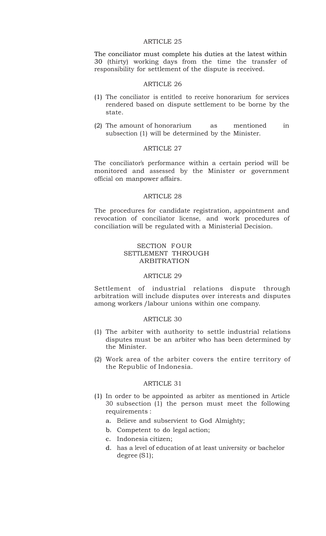The conciliator must complete his duties at the latest within 30 (thirty) working days from the time the transfer of responsibility for settlement of the dispute is received.

#### ARTICLE 26

- (1) The conciliator is entitled to receive honorarium for services rendered based on dispute settlement to be borne by the state.
- (2) The amount of honorarium as mentioned in subsection (1) will be determined by the Minister.

#### ARTICLE 27

The conciliator's performance within a certain period will be monitored and assessed by the Minister or government official on manpower affairs.

#### ARTICLE 28

The procedures for candidate registration, appointment and revocation of conciliator license, and work procedures of conciliation will be regulated with a Ministerial Decision.

# SECTION FOUR SETTLEMENT THROUGH ARBITRATION

# ARTICLE 29

Settlement of industrial relations dispute through arbitration will include disputes over interests and disputes among workers /labour unions within one company.

### ARTICLE 30

- (1) The arbiter with authority to settle industrial relations disputes must be an arbiter who has been determined by the Minister.
- (2) Work area of the arbiter covers the entire territory of the Republic of Indonesia.

- (1) In order to be appointed as arbiter as mentioned in Article 30 subsection (1) the person must meet the following requirements :
	- a. Believe and subservient to God Almighty;
	- b. Competent to do legal action;
	- c. Indonesia citizen;
	- d. has a level of education of at least university or bachelor degree (S1);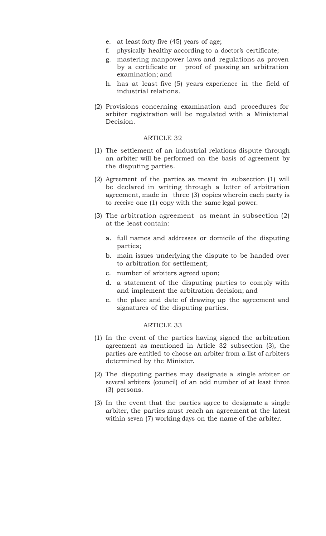- e. at least forty-five (45) years of age;
- f. physically healthy according to a doctor's certificate;
- g. mastering manpower laws and regulations as proven by a certificate or proof of passing an arbitration examination; and
- h. has at least five (5) years experience in the field of industrial relations.
- (2) Provisions concerning examination and procedures for arbiter registration will be regulated with a Ministerial Decision.

- (1) The settlement of an industrial relations dispute through an arbiter will be performed on the basis of agreement by the disputing parties.
- (2) Agreement of the parties as meant in subsection (1) will be declared in writing through a letter of arbitration agreement, made in three (3) copies wherein each party is to receive one (1) copy with the same legal power.
- (3) The arbitration agreement as meant in subsection (2) at the least contain:
	- a. full names and addresses or domicile of the disputing parties;
	- b. main issues underlying the dispute to be handed over to arbitration for settlement;
	- c. number of arbiters agreed upon;
	- d. a statement of the disputing parties to comply with and implement the arbitration decision; and
	- e. the place and date of drawing up the agreement and signatures of the disputing parties.

- (1) In the event of the parties having signed the arbitration agreement as mentioned in Article 32 subsection (3), the parties are entitled to choose an arbiter from a list of arbiters determined by the Minister.
- (2) The disputing parties may designate a single arbiter or several arbiters (council) of an odd number of at least three (3) persons.
- (3) In the event that the parties agree to designate a single arbiter, the parties must reach an agreement at the latest within seven (7) working days on the name of the arbiter.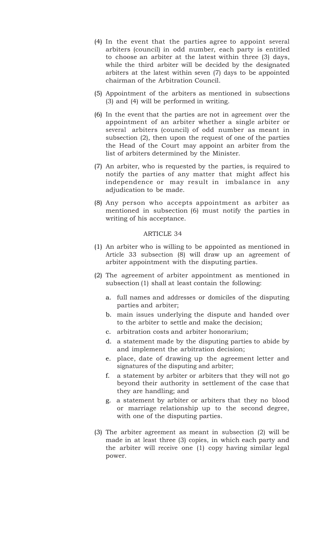- (4) In the event that the parties agree to appoint several arbiters (council) in odd number, each party is entitled to choose an arbiter at the latest within three (3) days, while the third arbiter will be decided by the designated arbiters at the latest within seven (7) days to be appointed chairman of the Arbitration Council.
- (5) Appointment of the arbiters as mentioned in subsections (3) and (4) will be performed in writing.
- (6) In the event that the parties are not in agreement over the appointment of an arbiter whether a single arbiter or several arbiters (council) of odd number as meant in subsection (2), then upon the request of one of the parties the Head of the Court may appoint an arbiter from the list of arbiters determined by the Minister.
- (7) An arbiter, who is requested by the parties, is required to notify the parties of any matter that might affect his independence or may result in imbalance in any adjudication to be made.
- (8) Any person who accepts appointment as arbiter as mentioned in subsection (6) must notify the parties in writing of his acceptance.

- (1) An arbiter who is willing to be appointed as mentioned in Article 33 subsection (8) will draw up an agreement of arbiter appointment with the disputing parties.
- (2) The agreement of arbiter appointment as mentioned in subsection (1) shall at least contain the following:
	- a. full names and addresses or domiciles of the disputing parties and arbiter;
	- b. main issues underlying the dispute and handed over to the arbiter to settle and make the decision;
	- c. arbitration costs and arbiter honorarium;
	- d. a statement made by the disputing parties to abide by and implement the arbitration decision;
	- e. place, date of drawing up the agreement letter and signatures of the disputing and arbiter;
	- f. a statement by arbiter or arbiters that they will not go beyond their authority in settlement of the case that they are handling; and
	- g. a statement by arbiter or arbiters that they no blood or marriage relationship up to the second degree, with one of the disputing parties.
- (3) The arbiter agreement as meant in subsection (2) will be made in at least three (3) copies, in which each party and the arbiter will receive one (1) copy having similar legal power.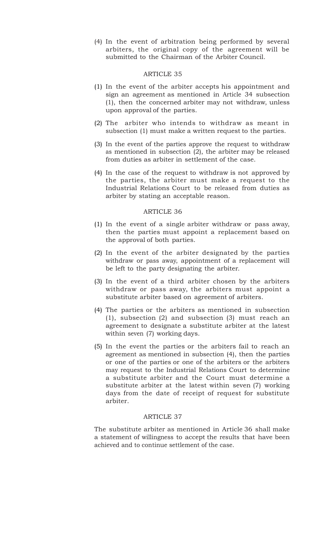(4) In the event of arbitration being performed by several arbiters, the original copy of the agreement will be submitted to the Chairman of the Arbiter Council*.*

# ARTICLE 35

- (1) In the event of the arbiter accepts his appointment and sign an agreement as mentioned in Article 34 subsection (1), then the concerned arbiter may not withdraw, unless upon approval of the parties.
- (2) The arbiter who intends to withdraw as meant in subsection (1) must make a written request to the parties.
- (3) In the event of the parties approve the request to withdraw as mentioned in subsection (2), the arbiter may be released from duties as arbiter in settlement of the case.
- (4) In the case of the request to withdraw is not approved by the parties, the arbiter must make a request to the Industrial Relations Court to be released from duties as arbiter by stating an acceptable reason.

#### ARTICLE 36

- (1) In the event of a single arbiter withdraw or pass away, then the parties must appoint a replacement based on the approval of both parties.
- (2) In the event of the arbiter designated by the parties withdraw or pass away, appointment of a replacement will be left to the party designating the arbiter.
- (3) In the event of a third arbiter chosen by the arbiters withdraw or pass away, the arbiters must appoint a substitute arbiter based on agreement of arbiters.
- (4) The parties or the arbiters as mentioned in subsection (1), subsection (2) and subsection (3) must reach an agreement to designate a substitute arbiter at the latest within seven (7) working days.
- (5) In the event the parties or the arbiters fail to reach an agreement as mentioned in subsection (4), then the parties or one of the parties or one of the arbiters or the arbiters may request to the Industrial Relations Court to determine a substitute arbiter and the Court must determine a substitute arbiter at the latest within seven (7) working days from the date of receipt of request for substitute arbiter.

#### ARTICLE 37

The substitute arbiter as mentioned in Article 36 shall make a statement of willingness to accept the results that have been achieved and to continue settlement of the case.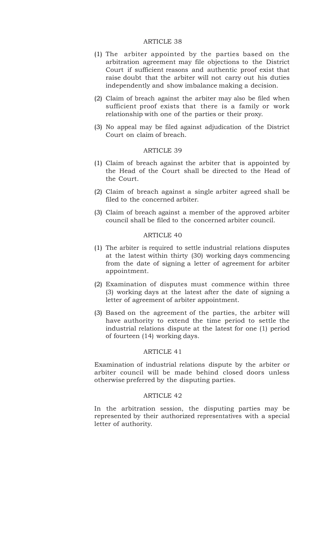- (1) The arbiter appointed by the parties based on the arbitration agreement may file objections to the District Court if sufficient reasons and authentic proof exist that raise doubt that the arbiter will not carry out his duties independently and show imbalance making a decision.
- (2) Claim of breach against the arbiter may also be filed when sufficient proof exists that there is a family or work relationship with one of the parties or their proxy.
- (3) No appeal may be filed against adjudication of the District Court on claim of breach.

## ARTICLE 39

- (1) Claim of breach against the arbiter that is appointed by the Head of the Court shall be directed to the Head of the Court.
- (2) Claim of breach against a single arbiter agreed shall be filed to the concerned arbiter.
- (3) Claim of breach against a member of the approved arbiter council shall be filed to the concerned arbiter council.

### ARTICLE 40

- (1) The arbiter is required to settle industrial relations disputes at the latest within thirty (30) working days commencing from the date of signing a letter of agreement for arbiter appointment.
- (2) Examination of disputes must commence within three (3) working days at the latest after the date of signing a letter of agreement of arbiter appointment.
- (3) Based on the agreement of the parties, the arbiter will have authority to extend the time period to settle the industrial relations dispute at the latest for one (1) period of fourteen (14) working days.

#### ARTICLE 41

Examination of industrial relations dispute by the arbiter or arbiter council will be made behind closed doors unless otherwise preferred by the disputing parties.

### ARTICLE 42

In the arbitration session, the disputing parties may be represented by their authorized representatives with a special letter of authority.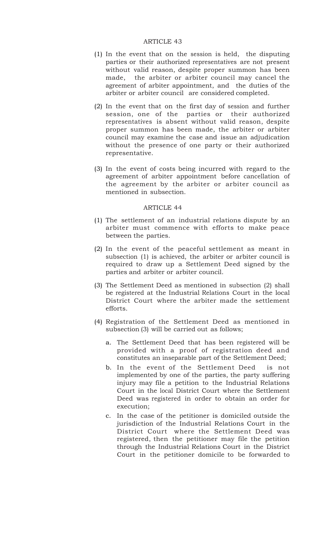- (1) In the event that on the session is held, the disputing parties or their authorized representatives are not present without valid reason, despite proper summon has been made, the arbiter or arbiter council may cancel the agreement of arbiter appointment, and the duties of the arbiter or arbiter council are considered completed.
- (2) In the event that on the first day of session and further session, one of the parties or their authorized representatives is absent without valid reason, despite proper summon has been made, the arbiter or arbiter council may examine the case and issue an adjudication without the presence of one party or their authorized representative.
- (3) In the event of costs being incurred with regard to the agreement of arbiter appointment before cancellation of the agreement by the arbiter or arbiter council as mentioned in subsection.

- (1) The settlement of an industrial relations dispute by an arbiter must commence with efforts to make peace between the parties.
- (2) In the event of the peaceful settlement as meant in subsection (1) is achieved, the arbiter or arbiter council is required to draw up a Settlement Deed signed by the parties and arbiter or arbiter council.
- (3) The Settlement Deed as mentioned in subsection (2) shall be registered at the Industrial Relations Court in the local District Court where the arbiter made the settlement efforts.
- (4) Registration of the Settlement Deed as mentioned in subsection (3) will be carried out as follows;
	- a. The Settlement Deed that has been registered will be provided with a proof of registration deed and constitutes an inseparable part of the Settlement Deed;
	- b. In the event of the Settlement Deed is not implemented by one of the parties, the party suffering injury may file a petition to the Industrial Relations Court in the local District Court where the Settlement Deed was registered in order to obtain an order for execution;
	- c. In the case of the petitioner is domiciled outside the jurisdiction of the Industrial Relations Court in the District Court where the Settlement Deed was registered, then the petitioner may file the petition through the Industrial Relations Court in the District Court in the petitioner domicile to be forwarded to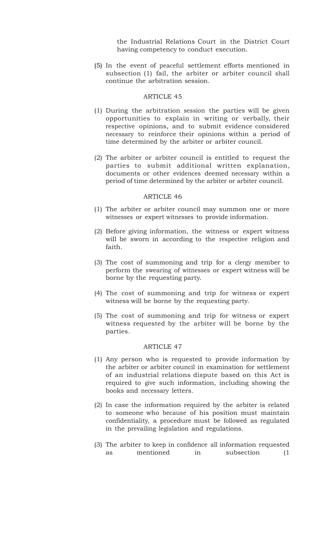the Industrial Relations Court in the District Court having competency to conduct execution.

(5) In the event of peaceful settlement efforts mentioned in subsection (1) fail, the arbiter or arbiter council shall continue the arbitration session.

## ARTICLE 45

- (1) During the arbitration session the parties will be given opportunities to explain in writing or verbally, their respective opinions, and to submit evidence considered necessary to reinforce their opinions within a period of time determined by the arbiter or arbiter council.
- (2) The arbiter or arbiter council is entitled to request the parties to submit additional written explanation, documents or other evidences deemed necessary within a period of time determined by the arbiter or arbiter council.

#### ARTICLE 46

- (1) The arbiter or arbiter council may summon one or more witnesses or expert witnesses to provide information.
- (2) Before giving information, the witness or expert witness will be sworn in according to the respective religion and faith.
- (3) The cost of summoning and trip for a clergy member to perform the swearing of witnesses or expert witness will be borne by the requesting party.
- (4) The cost of summoning and trip for witness or expert witness will be borne by the requesting party.
- (5) The cost of summoning and trip for witness or expert witness requested by the arbiter will be borne by the parties.

- (1) Any person who is requested to provide information by the arbiter or arbiter council in examination for settlement of an industrial relations dispute based on this Act is required to give such information, including showing the books and necessary letters.
- (2) In case the information required by the arbiter is related to someone who because of his position must maintain confidentiality, a procedure must be followed as regulated in the prevailing legislation and regulations.
- (3) The arbiter to keep in confidence all information requested as mentioned in subsection (1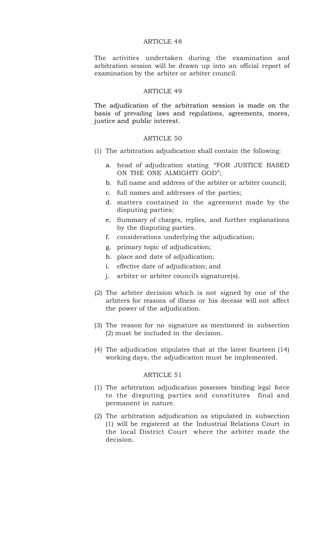The activities undertaken during the examination and arbitration session will be drawn up into an official report of examination by the arbiter or arbiter council.

## ARTICLE 49

The adjudication of the arbitration session is made on the basis of prevailing laws and regulations, agreements, mores, justice and public interest.

## ARTICLE 50

- (1) The arbitration adjudication shall contain the following:
	- a. head of adjudication stating "FOR JUSTICE BASED ON THE ONE ALMIGHTY GOD";
	- b. full name and address of the arbiter or arbiter council;
	- c. full names and addresses of the parties;
	- d. matters contained in the agreement made by the disputing parties;
	- e. Summary of charges, replies, and further explanations by the disputing parties.
	- f. considerations underlying the adjudication;
	- g. primary topic of adjudication;
	- h. place and date of adjudication;
	- i. effective date of adjudication; and
	- j. arbiter or arbiter council's signature(s).
- (2) The arbiter decision which is not signed by one of the arbiters for reasons of illness or his decease will not affect the power of the adjudication.
- (3) The reason for no signature as mentioned in subsection (2) must be included in the decision.
- (4) The adjudication stipulates that at the latest fourteen (14) working days, the adjudication must be implemented.

- (1) The arbitration adjudication possesses binding legal force to the disputing parties and constitutes final and permanent in nature.
- (2) The arbitration adjudication as stipulated in subsection (1) will be registered at the Industrial Relations Court in the local District Court where the arbiter made the decision.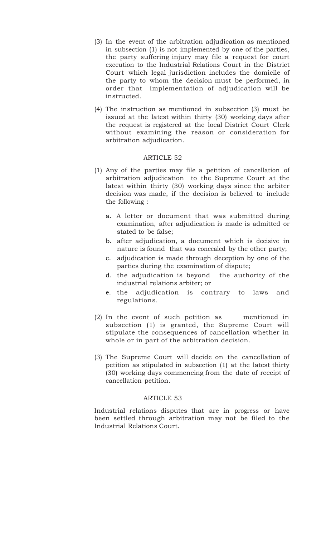- (3) In the event of the arbitration adjudication as mentioned in subsection (1) is not implemented by one of the parties, the party suffering injury may file a request for court execution to the Industrial Relations Court in the District Court which legal jurisdiction includes the domicile of the party to whom the decision must be performed, in order that implementation of adjudication will be instructed.
- (4) The instruction as mentioned in subsection (3) must be issued at the latest within thirty (30) working days after the request is registered at the local District Court Clerk without examining the reason or consideration for arbitration adjudication.

- (1) Any of the parties may file a petition of cancellation of arbitration adjudication to the Supreme Court at the latest within thirty (30) working days since the arbiter decision was made, if the decision is believed to include the following :
	- a. A letter or document that was submitted during examination, after adjudication is made is admitted or stated to be false;
	- b. after adjudication, a document which is decisive in nature is found that was concealed by the other party;
	- c. adjudication is made through deception by one of the parties during the examination of dispute;
	- d. the adjudication is beyond the authority of the industrial relations arbiter; or
	- e. the adjudication is contrary to laws and regulations.
- (2) In the event of such petition as mentioned in subsection (1) is granted, the Supreme Court will stipulate the consequences of cancellation whether in whole or in part of the arbitration decision.
- (3) The Supreme Court will decide on the cancellation of petition as stipulated in subsection (1) at the latest thirty (30) working days commencing from the date of receipt of cancellation petition.

#### ARTICLE 53

Industrial relations disputes that are in progress or have been settled through arbitration may not be filed to the Industrial Relations Court.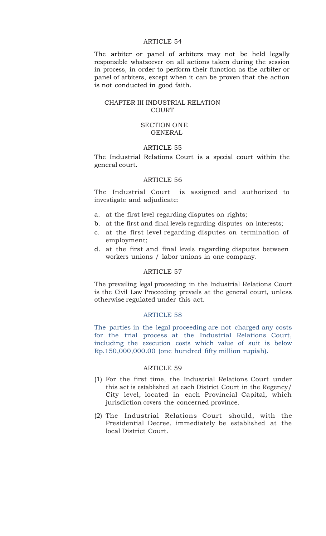The arbiter or panel of arbiters may not be held legally responsible whatsoever on all actions taken during the session in process, in order to perform their function as the arbiter or panel of arbiters, except when it can be proven that the action is not conducted in good faith.

## CHAPTER III INDUSTRIAL RELATION **COURT**

#### SECTION ONE GENERAL

# ARTICLE 55

The Industrial Relations Court is a special court within the general court.

#### ARTICLE 56

The Industrial Court is assigned and authorized to investigate and adjudicate:

- a. at the first level regarding disputes on rights;
- b. at the first and final levels regarding disputes on interests;
- c. at the first level regarding disputes on termination of employment;
- d. at the first and final levels regarding disputes between workers unions / labor unions in one company.

### ARTICLE 57

The prevailing legal proceeding in the Industrial Relations Court is the Civil Law Proceeding prevails at the general court, unless otherwise regulated under this act.

### ARTICLE 58

The parties in the legal proceeding are not charged any costs for the trial process at the Industrial Relations Court, including the execution costs which value of suit is below Rp.150,000,000.00 (one hundred fifty million rupiah).

- (1) For the first time, the Industrial Relations Court under this act is established at each District Court in the Regency/ City level, located in each Provincial Capital, which jurisdiction covers the concerned province.
- (2) The Industrial Relations Court should, with the Presidential Decree, immediately be established at the local District Court.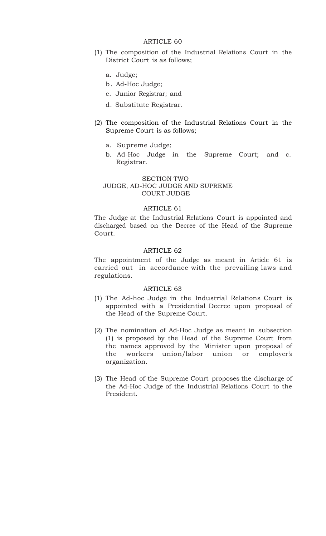- (1) The composition of the Industrial Relations Court in the District Court is as follows;
	- a. Judge;
	- b. Ad-Hoc Judge;
	- c. Junior Registrar; and
	- d. Substitute Registrar.
- (2) The composition of the Industrial Relations Court in the Supreme Court is as follows;
	- a. Supreme Judge;
	- b. Ad-Hoc Judge in the Supreme Court; and c. Registrar.

## SECTION TWO JUDGE, AD-HOC JUDGE AND SUPREME COURT JUDGE

#### ARTICLE 61

The Judge at the Industrial Relations Court is appointed and discharged based on the Decree of the Head of the Supreme Court.

# ARTICLE 62

The appointment of the Judge as meant in Article 61 is carried out in accordance with the prevailing laws and regulations.

- (1) The Ad-hoc Judge in the Industrial Relations Court is appointed with a Presidential Decree upon proposal of the Head of the Supreme Court.
- (2) The nomination of Ad-Hoc Judge as meant in subsection (1) is proposed by the Head of the Supreme Court from the names approved by the Minister upon proposal of the workers union/labor union or employer's organization.
- (3) The Head of the Supreme Court proposes the discharge of the Ad-Hoc Judge of the Industrial Relations Court to the President.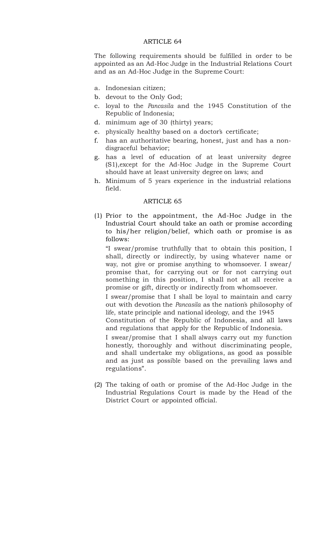The following requirements should be fulfilled in order to be appointed as an Ad-Hoc Judge in the Industrial Relations Court and as an Ad-Hoc Judge in the Supreme Court:

- a. Indonesian citizen;
- b. devout to the Only God;
- c. loyal to the *Pancasila* and the 1945 Constitution of the Republic of Indonesia;
- d. minimum age of 30 (thirty) years;
- e. physically healthy based on a doctor's certificate;
- f. has an authoritative bearing, honest, just and has a nondisgraceful behavior;
- g. has a level of education of at least university degree (S1),except for the Ad-Hoc Judge in the Supreme Court should have at least university degree on laws; and
- h. Minimum of 5 years experience in the industrial relations field.

## ARTICLE 65

(1) Prior to the appointment, the Ad-Hoc Judge in the Industrial Court should take an oath or promise according to his/her religion/belief, which oath or promise is as follows:

"I swear/promise truthfully that to obtain this position, I shall, directly or indirectly, by using whatever name or way, not give or promise anything to whomsoever. I swear/ promise that, for carrying out or for not carrying out something in this position, I shall not at all receive a promise or gift, directly or indirectly from whomsoever.

I swear/promise that I shall be loyal to maintain and carry out with devotion the *Pancasila* as the nation's philosophy of life, state principle and national ideology, and the 1945

Constitution of the Republic of Indonesia, and all laws and regulations that apply for the Republic of Indonesia.

I swear/promise that I shall always carry out my function honestly, thoroughly and without discriminating people, and shall undertake my obligations, as good as possible and as just as possible based on the prevailing laws and regulations".

(2) The taking of oath or promise of the Ad-Hoc Judge in the Industrial Regulations Court is made by the Head of the District Court or appointed official.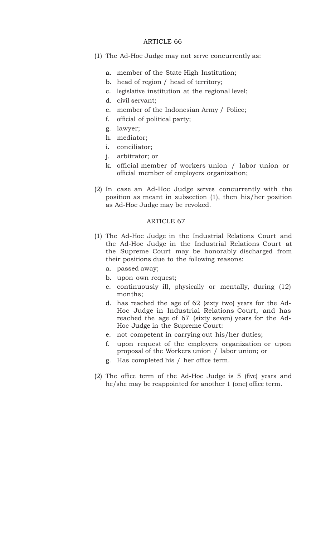- (1) The Ad-Hoc Judge may not serve concurrently as:
	- a. member of the State High Institution;
	- b. head of region / head of territory;
	- c. legislative institution at the regional level;
	- d. civil servant;
	- e. member of the Indonesian Army / Police;
	- f. official of political party;
	- g. lawyer;
	- h. mediator;
	- i. conciliator;
	- j. arbitrator; or
	- k. official member of workers union / labor union or official member of employers organization;
- (2) In case an Ad-Hoc Judge serves concurrently with the position as meant in subsection (1), then his/her position as Ad-Hoc Judge may be revoked.

- (1) The Ad-Hoc Judge in the Industrial Relations Court and the Ad-Hoc Judge in the Industrial Relations Court at the Supreme Court may be honorably discharged from their positions due to the following reasons:
	- a. passed away;
	- b. upon own request;
	- c. continuously ill, physically or mentally, during (12) months;
	- d. has reached the age of 62 (sixty two) years for the Ad-Hoc Judge in Industrial Relations Court, and has reached the age of 67 (sixty seven) years for the Ad-Hoc Judge in the Supreme Court:
	- e. not competent in carrying out his/her duties;
	- f. upon request of the employers organization or upon proposal of the Workers union / labor union; or
	- g. Has completed his / her office term.
- (2) The office term of the Ad-Hoc Judge is 5 (five) years and he/she may be reappointed for another 1 (one) office term.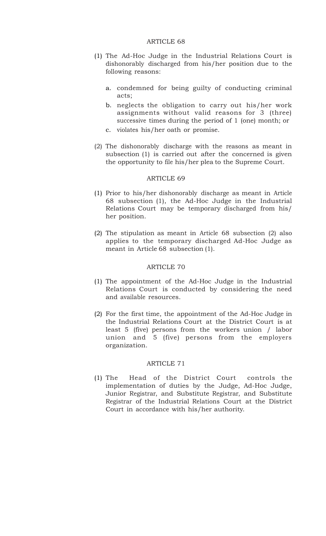- (1) The Ad-Hoc Judge in the Industrial Relations Court is dishonorably discharged from his/her position due to the following reasons:
	- a. condemned for being guilty of conducting criminal acts;
	- b. neglects the obligation to carry out his/her work assignments without valid reasons for 3 (three) successive times during the period of 1 (one) month; or
	- c. violates his/her oath or promise.
- (2) The dishonorably discharge with the reasons as meant in subsection (1) is carried out after the concerned is given the opportunity to file his/her plea to the Supreme Court.

#### ARTICLE 69

- (1) Prior to his/her dishonorably discharge as meant in Article 68 subsection (1), the Ad-Hoc Judge in the Industrial Relations Court may be temporary discharged from his/ her position.
- (2) The stipulation as meant in Article 68 subsection (2) also applies to the temporary discharged Ad-Hoc Judge as meant in Article 68 subsection (1).

#### ARTICLE 70

- (1) The appointment of the Ad-Hoc Judge in the Industrial Relations Court is conducted by considering the need and available resources.
- (2) For the first time, the appointment of the Ad-Hoc Judge in the Industrial Relations Court at the District Court is at least 5 (five) persons from the workers union / labor union and 5 (five) persons from the employers organization.

### ARTICLE 71

(1) The Head of the District Court controls the implementation of duties by the Judge, Ad-Hoc Judge, Junior Registrar, and Substitute Registrar, and Substitute Registrar of the Industrial Relations Court at the District Court in accordance with his/her authority.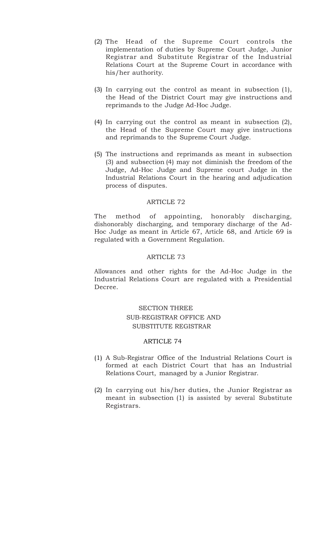- (2) The Head of the Supreme Court controls the implementation of duties by Supreme Court Judge, Junior Registrar and Substitute Registrar of the Industrial Relations Court at the Supreme Court in accordance with his/her authority.
- (3) In carrying out the control as meant in subsection (1), the Head of the District Court may give instructions and reprimands to the Judge Ad-Hoc Judge.
- (4) In carrying out the control as meant in subsection (2), the Head of the Supreme Court may give instructions and reprimands to the Supreme Court Judge.
- (5) The instructions and reprimands as meant in subsection (3) and subsection (4) may not diminish the freedom of the Judge, Ad-Hoc Judge and Supreme court Judge in the Industrial Relations Court in the hearing and adjudication process of disputes.

The method of appointing, honorably discharging, dishonorably discharging, and temporary discharge of the Ad-Hoc Judge as meant in Article 67, Article 68, and Article 69 is regulated with a Government Regulation.

## ARTICLE 73

Allowances and other rights for the Ad-Hoc Judge in the Industrial Relations Court are regulated with a Presidential Decree.

# SECTION THREE SUB-REGISTRAR OFFICE AND SUBSTITUTE REGISTRAR

- (1) A Sub-Registrar Office of the Industrial Relations Court is formed at each District Court that has an Industrial Relations Court, managed by a Junior Registrar.
- (2) In carrying out his/her duties, the Junior Registrar as meant in subsection (1) is assisted by several Substitute Registrars.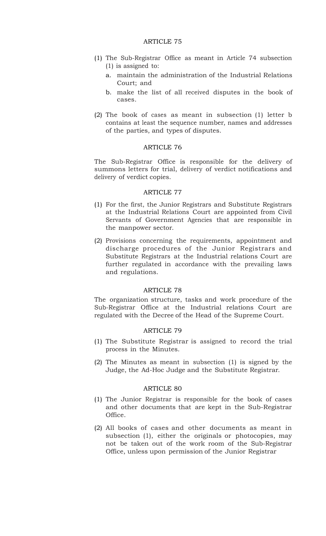- (1) The Sub-Registrar Office as meant in Article 74 subsection (1) is assigned to:
	- a. maintain the administration of the Industrial Relations Court; and
	- b. make the list of all received disputes in the book of cases.
- (2) The book of cases as meant in subsection (1) letter b contains at least the sequence number, names and addresses of the parties, and types of disputes.

## ARTICLE 76

The Sub-Registrar Office is responsible for the delivery of summons letters for trial, delivery of verdict notifications and delivery of verdict copies.

## ARTICLE 77

- (1) For the first, the Junior Registrars and Substitute Registrars at the Industrial Relations Court are appointed from Civil Servants of Government Agencies that are responsible in the manpower sector.
- (2) Provisions concerning the requirements, appointment and discharge procedures of the Junior Registrars and Substitute Registrars at the Industrial relations Court are further regulated in accordance with the prevailing laws and regulations.

#### ARTICLE 78

The organization structure, tasks and work procedure of the Sub-Registrar Office at the Industrial relations Court are regulated with the Decree of the Head of the Supreme Court.

# ARTICLE 79

- (1) The Substitute Registrar is assigned to record the trial process in the Minutes.
- (2) The Minutes as meant in subsection (1) is signed by the Judge, the Ad-Hoc Judge and the Substitute Registrar.

- (1) The Junior Registrar is responsible for the book of cases and other documents that are kept in the Sub-Registrar Office.
- (2) All books of cases and other documents as meant in subsection (1), either the originals or photocopies, may not be taken out of the work room of the Sub-Registrar Office, unless upon permission of the Junior Registrar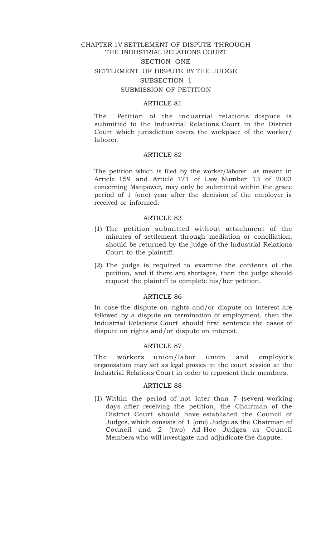# CHAPTER 1V SETTLEMENT OF DISPUTE THROUGH THE INDUSTRIAL RELATIONS COURT SECTION ONE SETTLEMENT OF DISPUTE BY THE JUDGE SUBSECTION 1 SUBMISSION OF PETITION

## ARTICLE 81

The Petition of the industrial relations dispute is submitted to the Industrial Relations Court in the District Court which jurisdiction covers the workplace of the worker/ laborer.

#### ARTICLE 82

The petition which is filed by the worker/laborer as meant in Article 159 and Article 171 of Law Number 13 of 2003 concerning Manpower, may only be submitted within the grace period of 1 (one) year after the decision of the employer is received or informed.

#### ARTICLE 83

- (1) The petition submitted without attachment of the minutes of settlement through mediation or conciliation, should be returned by the judge of the Industrial Relations Court to the plaintiff.
- (2) The judge is required to examine the contents of the petition, and if there are shortages, then the judge should request the plaintiff to complete his/her petition.

### ARTICLE 86

In case the dispute on rights and/or dispute on interest are followed by a dispute on termination of employment, then the Industrial Relations Court should first sentence the cases of dispute on rights and/or dispute on interest.

#### ARTICLE 87

The workers union/labor union and employer's organization may act as legal proxies in the court session at the Industrial Relations Court in order to represent their members.

#### ARTICLE 88

(1) Within the period of not later than 7 (seven) working days after receiving the petition, the Chairman of the District Court should have established the Council of Judges, which consists of 1 (one) Judge as the Chairman of Council and 2 (two) Ad-Hoc Judges as Council Members who will investigate and adjudicate the dispute.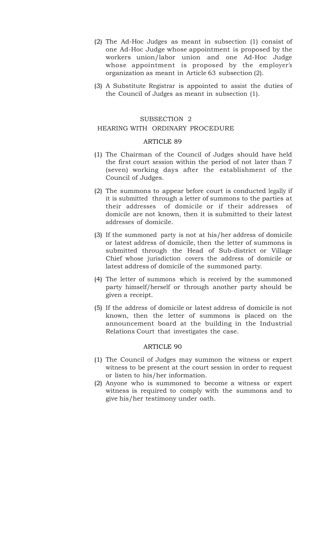- (2) The Ad-Hoc Judges as meant in subsection (1) consist of one Ad-Hoc Judge whose appointment is proposed by the workers union/labor union and one Ad-Hoc Judge whose appointment is proposed by the employer's organization as meant in Article 63 subsection (2).
- (3) A Substitute Registrar is appointed to assist the duties of the Council of Judges as meant in subsection (1).

# SUBSECTION 2

## HEARING WITH ORDINARY PROCEDURE

### ARTICLE 89

- (1) The Chairman of the Council of Judges should have held the first court session within the period of not later than 7 (seven) working days after the establishment of the Council of Judges.
- (2) The summons to appear before court is conducted legally if it is submitted through a letter of summons to the parties at their addresses of domicile or if their addresses of domicile are not known, then it is submitted to their latest addresses of domicile.
- (3) If the summoned party is not at his/her address of domicile or latest address of domicile, then the letter of summons is submitted through the Head of Sub-district or Village Chief whose jurisdiction covers the address of domicile or latest address of domicile of the summoned party.
- (4) The letter of summons which is received by the summoned party himself/herself or through another party should be given a receipt.
- (5) If the address of domicile or latest address of domicile is not known, then the letter of summons is placed on the announcement board at the building in the Industrial Relations Court that investigates the case.

- (1) The Council of Judges may summon the witness or expert witness to be present at the court session in order to request or listen to his/her information.
- (2) Anyone who is summoned to become a witness or expert witness is required to comply with the summons and to give his/her testimony under oath.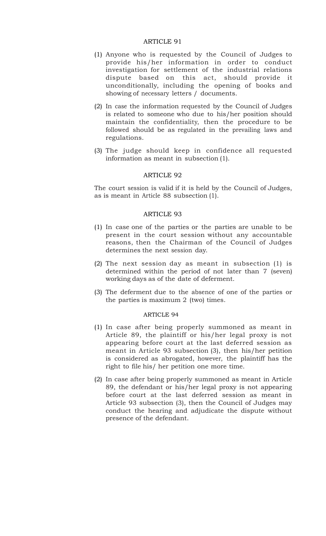- (1) Anyone who is requested by the Council of Judges to provide his/her information in order to conduct investigation for settlement of the industrial relations dispute based on this act, should provide it unconditionally, including the opening of books and showing of necessary letters / documents.
- (2) In case the information requested by the Council of Judges is related to someone who due to his/her position should maintain the confidentiality, then the procedure to be followed should be as regulated in the prevailing laws and regulations.
- (3) The judge should keep in confidence all requested information as meant in subsection (1).

## ARTICLE 92

The court session is valid if it is held by the Council of Judges, as is meant in Article 88 subsection (1).

#### ARTICLE 93

- (1) In case one of the parties or the parties are unable to be present in the court session without any accountable reasons, then the Chairman of the Council of Judges determines the next session day.
- (2) The next session day as meant in subsection (1) is determined within the period of not later than 7 (seven) working days as of the date of deferment.
- (3) The deferment due to the absence of one of the parties or the parties is maximum 2 (two) times.

- (1) In case after being properly summoned as meant in Article 89, the plaintiff or his/her legal proxy is not appearing before court at the last deferred session as meant in Article 93 subsection (3), then his/her petition is considered as abrogated, however, the plaintiff has the right to file his/ her petition one more time.
- (2) In case after being properly summoned as meant in Article 89, the defendant or his/her legal proxy is not appearing before court at the last deferred session as meant in Article 93 subsection (3), then the Council of Judges may conduct the hearing and adjudicate the dispute without presence of the defendant.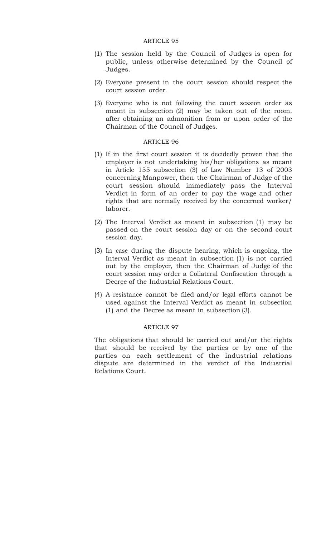- (1) The session held by the Council of Judges is open for public, unless otherwise determined by the Council of Judges.
- (2) Everyone present in the court session should respect the court session order.
- (3) Everyone who is not following the court session order as meant in subsection (2) may be taken out of the room, after obtaining an admonition from or upon order of the Chairman of the Council of Judges.

### ARTICLE 96

- (1) If in the first court session it is decidedly proven that the employer is not undertaking his/her obligations as meant in Article 155 subsection (3) of Law Number 13 of 2003 concerning Manpower, then the Chairman of Judge of the court session should immediately pass the Interval Verdict in form of an order to pay the wage and other rights that are normally received by the concerned worker/ laborer.
- (2) The Interval Verdict as meant in subsection (1) may be passed on the court session day or on the second court session day.
- (3) In case during the dispute hearing, which is ongoing, the Interval Verdict as meant in subsection (1) is not carried out by the employer, then the Chairman of Judge of the court session may order a Collateral Confiscation through a Decree of the Industrial Relations Court.
- (4) A resistance cannot be filed and/or legal efforts cannot be used against the Interval Verdict as meant in subsection (1) and the Decree as meant in subsection (3).

# ARTICLE 97

The obligations that should be carried out and/or the rights that should be received by the parties or by one of the parties on each settlement of the industrial relations dispute are determined in the verdict of the Industrial Relations Court.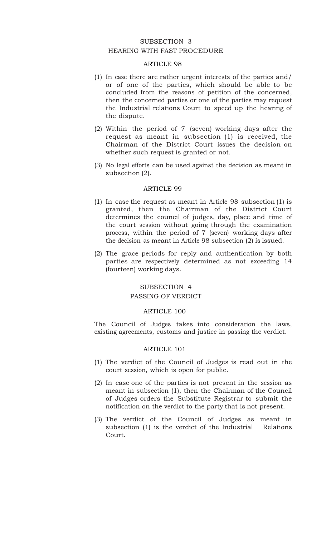# SUBSECTION 3 HEARING WITH FAST PROCEDURE

## ARTICLE 98

- (1) In case there are rather urgent interests of the parties and/ or of one of the parties, which should be able to be concluded from the reasons of petition of the concerned, then the concerned parties or one of the parties may request the Industrial relations Court to speed up the hearing of the dispute.
- (2) Within the period of 7 (seven) working days after the request as meant in subsection (1) is received, the Chairman of the District Court issues the decision on whether such request is granted or not.
- (3) No legal efforts can be used against the decision as meant in subsection (2).

## ARTICLE 99

- (1) In case the request as meant in Article 98 subsection (1) is granted, then the Chairman of the District Court determines the council of judges, day, place and time of the court session without going through the examination process, within the period of 7 (seven) working days after the decision as meant in Article 98 subsection (2) is issued.
- (2) The grace periods for reply and authentication by both parties are respectively determined as not exceeding 14 (fourteen) working days.

# SUBSECTION 4 PASSING OF VERDICT

#### ARTICLE 100

The Council of Judges takes into consideration the laws, existing agreements, customs and justice in passing the verdict.

- (1) The verdict of the Council of Judges is read out in the court session, which is open for public.
- (2) In case one of the parties is not present in the session as meant in subsection (1), then the Chairman of the Council of Judges orders the Substitute Registrar to submit the notification on the verdict to the party that is not present.
- (3) The verdict of the Council of Judges as meant in subsection (1) is the verdict of the Industrial Relations Court.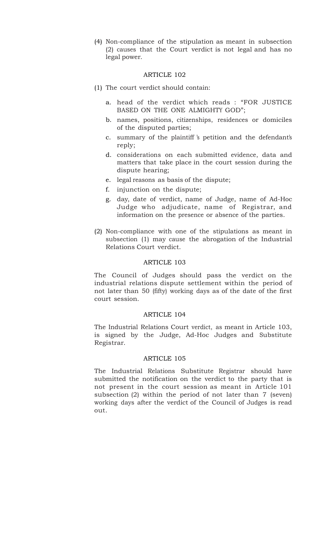(4) Non-compliance of the stipulation as meant in subsection (2) causes that the Court verdict is not legal and has no legal power.

### ARTICLE 102

- (1) The court verdict should contain:
	- a. head of the verdict which reads : "FOR JUSTICE BASED ON THE ONE ALMIGHTY GOD";
	- b. names, positions, citizenships, residences or domiciles of the disputed parties;
	- c. summary of the plaintiff 's petition and the defendant's reply;
	- d. considerations on each submitted evidence, data and matters that take place in the court session during the dispute hearing;
	- e. legal reasons as basis of the dispute;
	- f. injunction on the dispute;
	- g. day, date of verdict, name of Judge, name of Ad-Hoc Judge who adjudicate, name of Registrar, and information on the presence or absence of the parties.
- (2) Non-compliance with one of the stipulations as meant in subsection (1) may cause the abrogation of the Industrial Relations Court verdict.

#### ARTICLE 103

The Council of Judges should pass the verdict on the industrial relations dispute settlement within the period of not later than 50 (fifty) working days as of the date of the first court session.

### ARTICLE 104

The Industrial Relations Court verdict, as meant in Article 103, is signed by the Judge, Ad-Hoc Judges and Substitute Registrar.

### ARTICLE 105

The Industrial Relations Substitute Registrar should have submitted the notification on the verdict to the party that is not present in the court session as meant in Article 101 subsection (2) within the period of not later than 7 (seven) working days after the verdict of the Council of Judges is read out.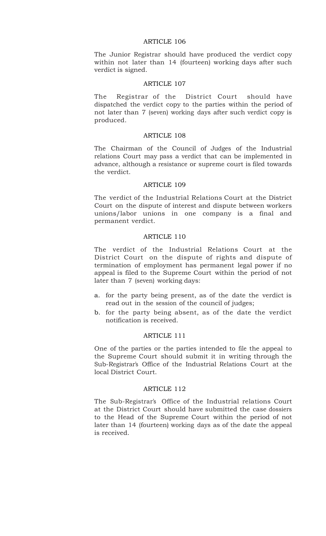The Junior Registrar should have produced the verdict copy within not later than 14 (fourteen) working days after such verdict is signed.

#### ARTICLE 107

The Registrar of the District Court should have dispatched the verdict copy to the parties within the period of not later than 7 (seven) working days after such verdict copy is produced.

#### ARTICLE 108

The Chairman of the Council of Judges of the Industrial relations Court may pass a verdict that can be implemented in advance, although a resistance or supreme court is filed towards the verdict.

### ARTICLE 109

The verdict of the Industrial Relations Court at the District Court on the dispute of interest and dispute between workers unions/labor unions in one company is a final and permanent verdict.

#### ARTICLE 110

The verdict of the Industrial Relations Court at the District Court on the dispute of rights and dispute of termination of employment has permanent legal power if no appeal is filed to the Supreme Court within the period of not later than 7 (seven) working days:

- a. for the party being present, as of the date the verdict is read out in the session of the council of judges;
- b. for the party being absent, as of the date the verdict notification is received.

#### ARTICLE 111

One of the parties or the parties intended to file the appeal to the Supreme Court should submit it in writing through the Sub-Registrar's Office of the Industrial Relations Court at the local District Court.

#### ARTICLE 112

The Sub-Registrar's Office of the Industrial relations Court at the District Court should have submitted the case dossiers to the Head of the Supreme Court within the period of not later than 14 (fourteen) working days as of the date the appeal is received.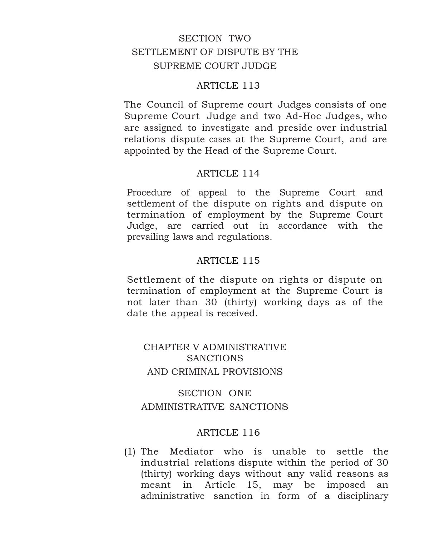# SECTION TWO SETTLEMENT OF DISPUTE BY THE SUPREME COURT JUDGE

#### ARTICLE 113

The Council of Supreme court Judges consists of one Supreme Court Judge and two Ad-Hoc Judges, who are assigned to investigate and preside over industrial relations dispute cases at the Supreme Court, and are appointed by the Head of the Supreme Court.

#### ARTICLE 114

Procedure of appeal to the Supreme Court and settlement of the dispute on rights and dispute on termination of employment by the Supreme Court Judge, are carried out in accordance with the prevailing laws and regulations.

#### ARTICLE 115

Settlement of the dispute on rights or dispute on termination of employment at the Supreme Court is not later than 30 (thirty) working days as of the date the appeal is received.

# CHAPTER V ADMINISTRATIVE **SANCTIONS** AND CRIMINAL PROVISIONS

# SECTION ONE ADMINISTRATIVE SANCTIONS

#### ARTICLE 116

(1) The Mediator who is unable to settle the industrial relations dispute within the period of 30 (thirty) working days without any valid reasons as meant in Article 15, may be imposed an administrative sanction in form of a disciplinary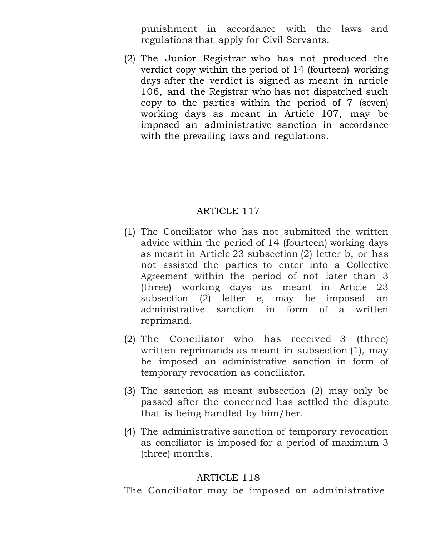punishment in accordance with the laws and regulations that apply for Civil Servants.

(2) The Junior Registrar who has not produced the verdict copy within the period of 14 (fourteen) working days after the verdict is signed as meant in article 106, and the Registrar who has not dispatched such copy to the parties within the period of 7 (seven) working days as meant in Article 107, may be imposed an administrative sanction in accordance with the prevailing laws and regulations.

# ARTICLE 117

- (1) The Conciliator who has not submitted the written advice within the period of 14 (fourteen) working days as meant in Article 23 subsection (2) letter b, or has not assisted the parties to enter into a Collective Agreement within the period of not later than 3 (three) working days as meant in Article 23 subsection (2) letter e, may be imposed an administrative sanction in form of a written reprimand.
- (2) The Conciliator who has received 3 (three) written reprimands as meant in subsection (1), may be imposed an administrative sanction in form of temporary revocation as conciliator.
- (3) The sanction as meant subsection (2) may only be passed after the concerned has settled the dispute that is being handled by him/her.
- (4) The administrative sanction of temporary revocation as conciliator is imposed for a period of maximum 3 (three) months.

## ARTICLE 118

The Conciliator may be imposed an administrative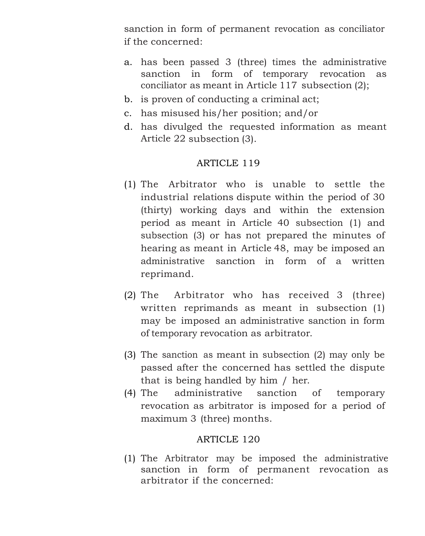sanction in form of permanent revocation as conciliator if the concerned:

- a. has been passed 3 (three) times the administrative sanction in form of temporary revocation as conciliator as meant in Article 117 subsection (2);
- b. is proven of conducting a criminal act;
- c. has misused his/her position; and/or
- d. has divulged the requested information as meant Article 22 subsection (3).

# ARTICLE 119

- (1) The Arbitrator who is unable to settle the industrial relations dispute within the period of 30 (thirty) working days and within the extension period as meant in Article 40 subsection (1) and subsection (3) or has not prepared the minutes of hearing as meant in Article 48, may be imposed an administrative sanction in form of a written reprimand.
- (2) The Arbitrator who has received 3 (three) written reprimands as meant in subsection (1) may be imposed an administrative sanction in form of temporary revocation as arbitrator.
- (3) The sanction as meant in subsection (2) may only be passed after the concerned has settled the dispute that is being handled by him / her.
- (4) The administrative sanction of temporary revocation as arbitrator is imposed for a period of maximum 3 (three) months.

# ARTICLE 120

(1) The Arbitrator may be imposed the administrative sanction in form of permanent revocation as arbitrator if the concerned: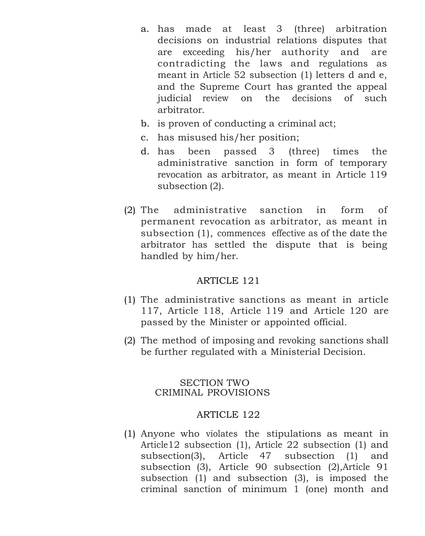- a. has made at least 3 (three) arbitration decisions on industrial relations disputes that are exceeding his/her authority and are contradicting the laws and regulations as meant in Article 52 subsection (1) letters d and e, and the Supreme Court has granted the appeal judicial review on the decisions of such arbitrator.
- b. is proven of conducting a criminal act;
- c. has misused his/her position;
- d. has been passed 3 (three) times the administrative sanction in form of temporary revocation as arbitrator, as meant in Article 119 subsection (2).
- (2) The administrative sanction in form of permanent revocation as arbitrator, as meant in subsection (1), commences effective as of the date the arbitrator has settled the dispute that is being handled by him/her.

- (1) The administrative sanctions as meant in article 117, Article 118, Article 119 and Article 120 are passed by the Minister or appointed official.
- (2) The method of imposing and revoking sanctions shall be further regulated with a Ministerial Decision.

### SECTION TWO CRIMINAL PROVISIONS

#### ARTICLE 122

(1) Anyone who violates the stipulations as meant in Article12 subsection (1), Article 22 subsection (1) and subsection(3), Article 47 subsection (1) and subsection (3), Article 90 subsection (2),Article 91 subsection (1) and subsection (3), is imposed the criminal sanction of minimum 1 (one) month and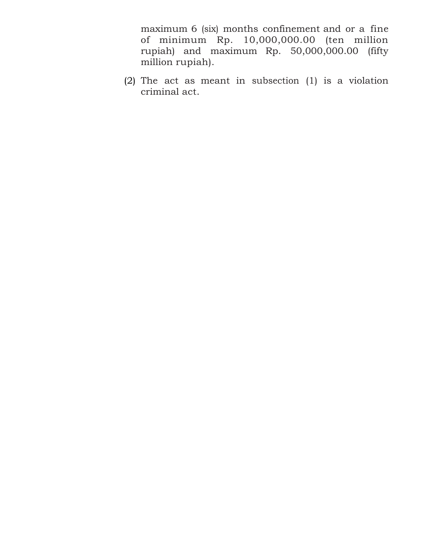maximum 6 (six) months confinement and or a fine of minimum Rp. 10,000,000.00 (ten million rupiah) and maximum Rp. 50,000,000.00 (fifty million rupiah).

(2) The act as meant in subsection (1) is a violation criminal act.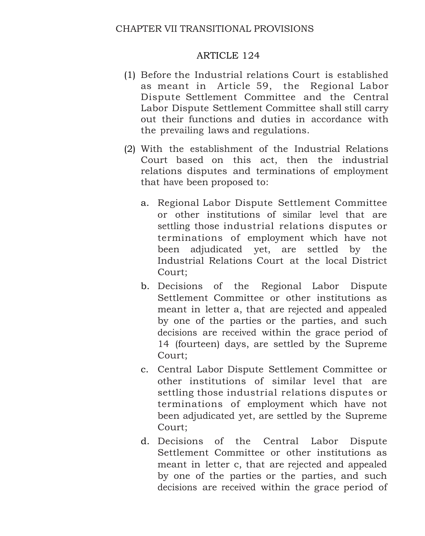- (1) Before the Industrial relations Court is established as meant in Article 59, the Regional Labor Dispute Settlement Committee and the Central Labor Dispute Settlement Committee shall still carry out their functions and duties in accordance with the prevailing laws and regulations.
- (2) With the establishment of the Industrial Relations Court based on this act, then the industrial relations disputes and terminations of employment that have been proposed to:
	- a. Regional Labor Dispute Settlement Committee or other institutions of similar level that are settling those industrial relations disputes or terminations of employment which have not been adjudicated yet, are settled by the Industrial Relations Court at the local District Court;
	- b. Decisions of the Regional Labor Dispute Settlement Committee or other institutions as meant in letter a, that are rejected and appealed by one of the parties or the parties, and such decisions are received within the grace period of 14 (fourteen) days, are settled by the Supreme Court;
	- c. Central Labor Dispute Settlement Committee or other institutions of similar level that are settling those industrial relations disputes or terminations of employment which have not been adjudicated yet, are settled by the Supreme Court;
	- d. Decisions of the Central Labor Dispute Settlement Committee or other institutions as meant in letter c, that are rejected and appealed by one of the parties or the parties, and such decisions are received within the grace period of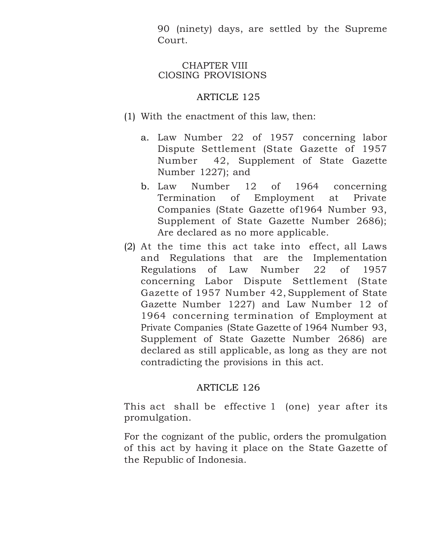90 (ninety) days, are settled by the Supreme Court.

### CHAPTER VIII ClOSING PROVISIONS

# ARTICLE 125

- (1) With the enactment of this law, then:
	- a. Law Number 22 of 1957 concerning labor Dispute Settlement (State Gazette of 1957 Number 42, Supplement of State Gazette Number 1227); and
	- b. Law Number 12 of 1964 concerning Termination of Employment at Private Companies (State Gazette of1964 Number 93, Supplement of State Gazette Number 2686); Are declared as no more applicable.
- (2) At the time this act take into effect, all Laws and Regulations that are the Implementation Regulations of Law Number 22 of 1957 concerning Labor Dispute Settlement (State Gazette of 1957 Number 42, Supplement of State Gazette Number 1227) and Law Number 12 of 1964 concerning termination of Employment at Private Companies (State Gazette of 1964 Number 93, Supplement of State Gazette Number 2686) are declared as still applicable, as long as they are not contradicting the provisions in this act.

# ARTICLE 126

This act shall be effective 1 (one) year after its promulgation.

For the cognizant of the public, orders the promulgation of this act by having it place on the State Gazette of the Republic of Indonesia.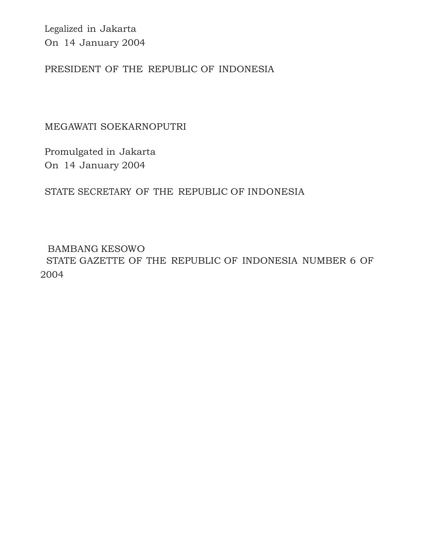Legalized in Jakarta On 14 January 2004

PRESIDENT OF THE REPUBLIC OF INDONESIA

MEGAWATI SOEKARNOPUTRI

Promulgated in Jakarta On 14 January 2004

STATE SECRETARY OF THE REPUBLIC OF INDONESIA

BAMBANG KESOWO STATE GAZETTE OF THE REPUBLIC OF INDONESIA NUMBER 6 OF 2004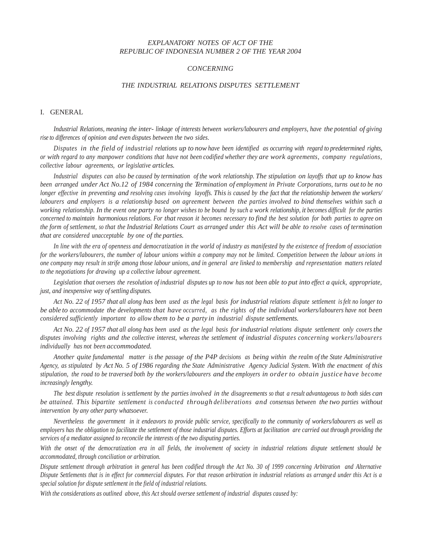#### *EXPLANATORY NOTES OF ACT OF THE REPUBLIC OF INDONESIA NUMBER 2 OF THE YEAR 2004*

#### *CONCERNING*

#### *THE INDUSTRIAL RELATIONS DISPUTES SETTLEMENT*

#### I. GENERAL

Industrial Relations, meaning the inter-linkage of interests between workers/labourers and employers, have the potential of giving *rise to differences of opinion and even disputes between the two sides.*

Disputes in the field of industrial relations up to now have been identified as occurring with regard to predetermined rights, or with regard to any manpower conditions that have not been codified whether they are work agreements, company regulations, *collective labour agreements, or legislative articles.*

Industrial disputes can also be caused by termination of the work relationship. The stipulation on layoffs that up to know has been arranged under Act No.12 of 1984 concerning the Termination of employment in Private Corporations, turns out to be no longer effective in preventing and resolving cases involving layoffs. This is caused by the fact that the relationship between the workers/ *labourers and employers is a relationship based on agreement between the parties involved to bind themselves within such a*  working relationship. In the event one party no longer wishes to be bound by such a work relationship, it becomes difficult for the parties concerned to maintain harmonious relations. For that reason it becomes necessary to find the best solution for both parties to agree on the form of settlement, so that the Industrial Relations Court as arranged under this Act will be able to resolve cases of termination *that are considered unacceptable by one of the parties.*

*In line with the era of openness and democratization in the world of industry as manifested by the existence of freedom of association for the workers/labourers, the number of labour unions within a company may not be limited. Competition between the labour unions in one company may result in strife among those labour unions, and in general are linked to membership and representation matters related to the negotiations for drawing up a collective labour agreement.*

Legislation that oversees the resolution of industrial disputes up to now has not been able to put into effect a quick, appropriate, *just, and inexpensive way ofsettling disputes.*

Act No. 22 of 1957 that all along has been used as the legal basis for industrial relations dispute settlement is felt no longer to be able to accommodate the developments that have occurred, as the rights of the individual workers/labourers have not been *considered sufficiently important to allow them to be a party in industrial dispute settlements.*

Act No. 22 of 1957 that all along has been used as the legal basis for industrial relations dispute settlement only covers the *disputes involving rights and the collective interest, whereas the settlement of industrial disputes concerning workers/labourers individually has not been accommodated.*

*Another quite fundamental matter is the passage of the P4P decisions as being within the realm of the State Administrative*  Agency, as stipulated by Act No. 5 of 1986 regarding the State Administrative Agency Judicial System. With the enactment of this stipulation, the road to be traversed both by the workers/labourers and the employers in order to obtain justice have become *increasingly lengthy.*

The best dispute resolution is settlement by the parties involved in the disagreements so that a result advantageous to both sides can *be attained. This bipartite settlement is conducted through deliberations and consensus between the two parties without intervention by any other party whatsoever.*

*Nevertheless the government in it endeavors to provide public service, specifically to the community of workers/labourers as well as employers has the obligation to facilitate the settlement of those industrial disputes. Efforts at facilitation are carried out through providing the services of a mediator assigned to reconcile the interests of the two disputing parties.*

*With the onset of the democratization era in all fields, the involvement of society in industrial relations dispute settlement should be accommodated, through conciliation or arbitration.*

*Dispute settlement through arbitration in general has been codified through the Act No. 30 of 1999 concerning Arbitration and Alternative Dispute Settlements that is in effect for commercial disputes. For that reason arbitration in industrial relations as arranged under this Act is a special solution for dispute settlement in the field of industrial relations.*

*With the considerations as outlined above, this Act should oversee settlement of industrial disputes caused by:*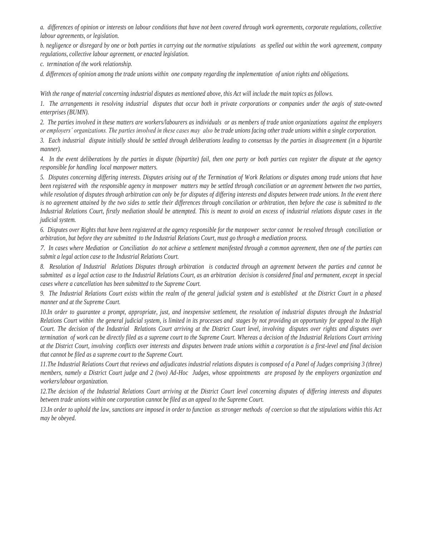*a. differences of opinion or interests on labour conditions that have not been covered through work agreements, corporate regulations, collective labour agreements, or legislation.*

*b. negligence or disregard by one or both parties in carrying out the normative stipulations as spelled out within the work agreement, company regulations, collective labour agreement, or enacted legislation.*

*c. termination of the work relationship.*

*d. differences of opinion among the trade unions within one company regarding the implementation of union rights and obligations.*

*With the range of material concerning industrial disputes as mentioned above, this Act will include the main topics as follows.*

*1. The arrangements in resolving industrial disputes that occur both in private corporations or companies under the aegis of state-owned enterprises (BUMN).*

*2. The parties involved in these matters are workers/labourers as individuals or as members of trade union organizations against the employers or employers' organizations. The parties involved in these cases may also be trade unions facing other trade unions within a single corporation.*

*3. Each industrial dispute initially should be settled through deliberations leading to consensus by the parties in disagreement (in a bipartite manner).*

*4. In the event deliberations by the parties in dispute (bipartite) fail, then one party or both parties can register the dispute at the agency responsible for handling local manpower matters.*

*5. Disputes concerning differing interests. Disputes arising out of the Termination of Work Relations or disputes among trade unions that have been registered with the responsible agency in manpower matters may be settled through conciliation or an agreement between the two parties, while resolution of disputes through arbitration can only be for disputes of differing interests and disputes between trade unions. In the event there is no agreement attained by the two sides to settle their differences through conciliation or arbitration, then before the case is submitted to the Industrial Relations Court, firstly mediation should be attempted. This is meant to avoid an excess of industrial relations dispute cases in the judicial system.*

*6. Disputes over Rights that have been registered at the agency responsible for the manpower sector cannot be resolved through conciliation or arbitration, but before they are submitted to the Industrial Relations Court, must go through a mediation process.*

*7. In cases where Mediation or Conciliation do not achieve a settlement manifested through a common agreement, then one of the parties can submit a legal action case to the Industrial Relations Court.*

*8. Resolution of Industrial Relations Disputes through arbitration is conducted through an agreement between the parties and cannot be submitted as a legal action case to the Industrial Relations Court, as an arbitration decision is considered final and permanent, except in special cases where a cancellation has been submitted to the Supreme Court.*

*9. The Industrial Relations Court exists within the realm of the general judicial system and is established at the District Court in a phased manner and at the Supreme Court.*

*10.In order to guarantee a prompt, appropriate, just, and inexpensive settlement, the resolution of industrial disputes through the Industrial Relations Court within the general judicial system, is limited in its processes and stages by not providing an opportunity for appeal to the High Court. The decision of the Industrial Relations Court arriving at the District Court level, involving disputes over rights and disputes over termination of work can be directly filed as a supreme court to the Supreme Court. Whereas a decision of the Industrial Relations Court arriving at the District Court, involving conflicts over interests and disputes between trade unions within a corporation is a first-level and final decision that cannot be filed as a supreme court to the Supreme Court.*

*11.The Industrial Relations Court that reviews and adjudicates industrial relations disputes is composed of a Panel of Judges comprising 3 (three) members, namely a District Court judge and 2 (two) Ad-Hoc Judges, whose appointments are proposed by the employers organization and workers/labour organization.*

*12.The decision of the Industrial Relations Court arriving at the District Court level concerning disputes of differing interests and disputes between trade unions within one corporation cannot be filed as an appeal to the Supreme Court.*

*13.In order to uphold the law, sanctions are imposed in order to function as stronger methods of coercion so that the stipulations within this Act may be obeyed.*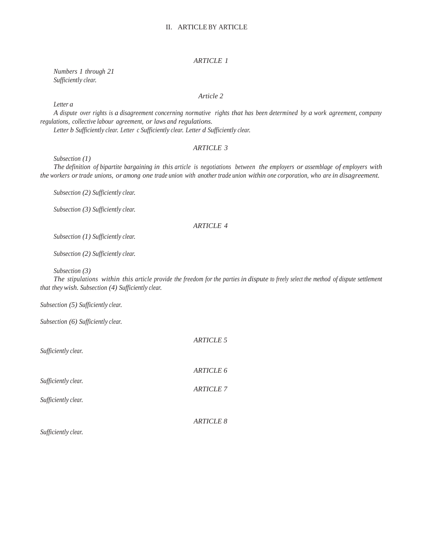#### II. ARTICLE BY ARTICLE

#### *ARTICLE 1*

*Numbers 1 through 21 Sufficiently clear.*

#### *Article 2*

*Letter a*

A dispute over rights is a disagreement concerning normative rights that has been determined by a work agreement, company *regulations, collective labour agreement, or laws and regulations.*

*Letter b Sufficiently clear. Letter c Sufficiently clear. Letter d Sufficiently clear.*

#### *ARTICLE 3*

*Subsection (1)*

*The definition of bipartite bargaining in this article is negotiations between the employers or assemblage of employers with*  the workers or trade unions, or among one trade union with another trade union within one corporation, who are in disagreement.

*Subsection (2) Sufficiently clear.*

*Subsection (3) Sufficiently clear.*

#### *ARTICLE 4*

*Subsection (1) Sufficiently clear.*

*Subsection (2) Sufficiently clear.*

*Subsection (3)*

The stipulations within this article provide the freedom for the parties in dispute to freely select the method of dispute settlement *that they wish. Subsection (4) Sufficiently clear.*

*Subsection (5) Sufficiently clear.*

*Subsection (6) Sufficiently clear.*

| Sufficiently clear. | <b>ARTICLE 5</b> |
|---------------------|------------------|
|                     | <b>ARTICLE 6</b> |
| Sufficiently clear. | <b>ARTICLE 7</b> |
| Sufficiently clear. |                  |
|                     | <b>ARTICLE 8</b> |
| Sufficiently clear. |                  |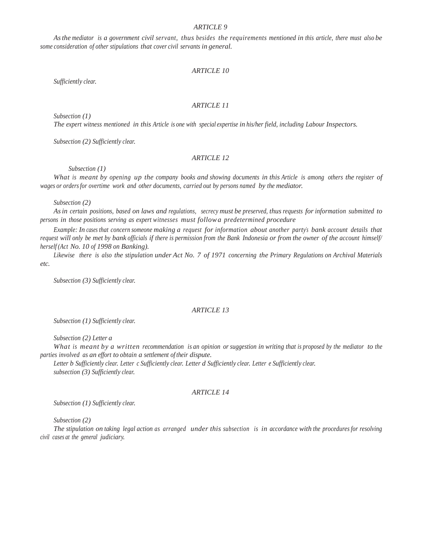*Asthe mediator is a government civil servant, thus besides the requirements mentioned in this article, there must also be some consideration of other stipulations that cover civil servants in general.*

#### *ARTICLE 10*

*Sufficiently clear.*

#### *ARTICLE 11*

*Subsection (1)*

*The expert witness mentioned in this Article is one with special expertise in his/her field, including Labour Inspectors.*

*Subsection (2) Sufficiently clear.*

#### *ARTICLE 12*

*Subsection (1)*

*What is meant by opening up the company books and showing documents in this Article is among others the register of wages or ordersfor overtime work and other documents, carried out by persons named by the mediator.*

*Subsection (2)*

As in certain positions, based on laws and regulations, secrecy must be preserved, thus requests for information submitted to *persons in those positions serving as expert witnesses must followa predetermined procedure*

Example: In cases that concern someone making a request for information about another party's bank account details that request will only be met by bank officials if there is permission from the Bank Indonesia or from the owner of the account himself/ *herself (Act No. 10 of 1998 on Banking).*

Likewise there is also the stipulation under Act No. 7 of 1971 concerning the Primary Regulations on Archival Materials *etc.*

*Subsection (3) Sufficiently clear.*

#### *ARTICLE 13*

*Subsection (1) Sufficiently clear.*

*Subsection (2) Letter a*

What is meant by a written recommendation is an opinion or suggestion in writing that is proposed by the mediator to the *parties involved as an effort to obtain a settlement of their dispute.*

*Letter b Sufficiently clear. Letter c Sufficiently clear. Letter d Sufficiently clear. Letter e Sufficiently clear. subsection (3) Sufficiently clear.*

#### *ARTICLE 14*

*Subsection (1) Sufficiently clear.*

*Subsection (2)*

*The stipulation on taking legal action as arranged under this subsection is in accordance with the procedures for resolving civil cases at the general judiciary.*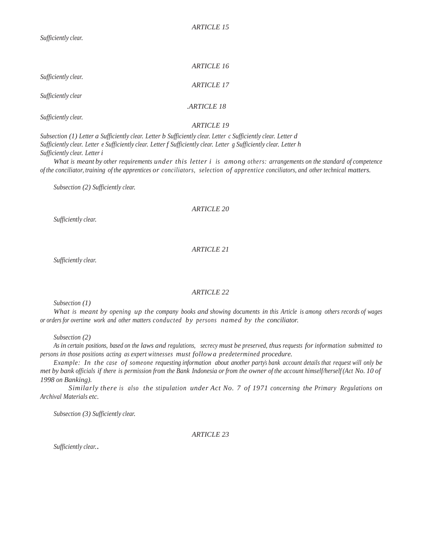|                     | <b>ARTICLE 16</b> |
|---------------------|-------------------|
| Sufficiently clear. | <b>ARTICLE 17</b> |
| Sufficiently clear  |                   |
|                     | ARTICLE 18        |
| Sufficiently clear. | <i>ARTICLE 19</i> |

*Subsection (1) Letter a Sufficiently clear. Letter b Sufficiently clear. Letter c Sufficiently clear. Letter d Sufficiently clear. Letter e Sufficiently clear. Letter f Sufficiently clear. Letter g Sufficiently clear. Letter h Sufficiently clear. Letter i*

*What is meant by other requirements under this letter i is among others: arrangements on the standard of competence of the conciliator, training of the apprentices or conciliators, selection of apprentice conciliators, and other technical matters.*

*Subsection (2) Sufficiently clear.*

#### *ARTICLE 20*

*Sufficiently clear.*

*ARTICLE 21*

*Sufficiently clear.*

#### *ARTICLE 22*

*Subsection (1)*

What is meant by opening up the company books and showing documents in this Article is among others records of wages *or orders for overtime work and other matters conducted by persons named by the conciliator.*

*Subsection (2)*

As in certain positions, based on the laws and regulations, secrecy must be preserved, thus requests for information submitted to *persons in those positions acting as expert witnesses must followa predetermined procedure.*

*Example: In the case of someone requesting information about another party's bank account details that request will only be*  met by bank officials if there is permission from the Bank Indonesia or from the owner of the account himself/herself(Act No. 10 of *1998 on Banking).*

*Similarly there is also the stipulation under Act No. 7 of 1971 concerning the Primary Regulations on Archival Materials etc.*

*Subsection (3) Sufficiently clear.*

#### *ARTICLE 23*

*Sufficiently clear.*.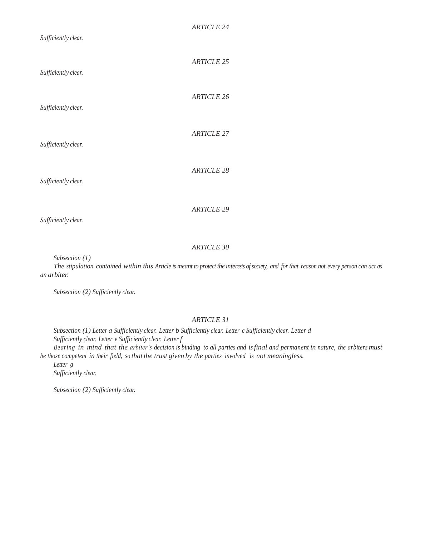| Sufficiently clear. | <b>ARTICLE 24</b> |
|---------------------|-------------------|
| Sufficiently clear. | <b>ARTICLE 25</b> |
| Sufficiently clear. | <b>ARTICLE 26</b> |
| Sufficiently clear. | <b>ARTICLE 27</b> |
| Sufficiently clear. | <b>ARTICLE 28</b> |
| Sufficiently clear. | <b>ARTICLE 29</b> |

*Subsection (1)*

The stipulation contained within this Article is meant to protect the interests of society, and for that reason not every person can act as *an arbiter.*

*Subsection (2) Sufficiently clear.*

#### *ARTICLE 31*

*Subsection (1) Letter a Sufficiently clear. Letter b Sufficiently clear. Letter c Sufficiently clear. Letter d Sufficiently clear. Letter e Sufficiently clear. Letter f*

Bearing in mind that the arbiter's decision is binding to all parties and is final and permanent in nature, the arbiters must *be those competent in their field, so that the trust given by the parties involved is not meaningless.*

*Letter g Sufficiently clear.*

*Subsection (2) Sufficiently clear.*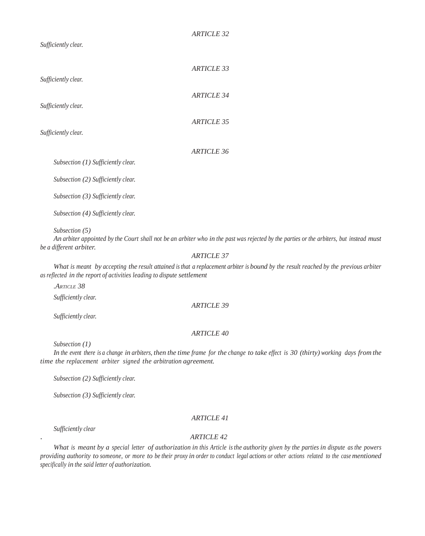*Sufficiently clear.*

|                                      | <i>ARTICLE 33</i> |
|--------------------------------------|-------------------|
| Sufficiently clear.                  | <i>ARTICLE 34</i> |
| Sufficiently clear.                  | <b>ARTICLE 35</b> |
| Sufficiently clear.                  | <b>ARTICLE 36</b> |
| Subsection $(1)$ Sufficiently clear. |                   |

*Subsection (2) Sufficiently clear.*

*Subsection (3) Sufficiently clear.*

*Subsection (4) Sufficiently clear.*

*Subsection (5)*

An arbiter appointed by the Court shall not be an arbiter who in the past was rejected by the parties or the arbiters, but instead must *be a different arbiter.*

#### *ARTICLE 37*

What is meant by accepting the result attained is that a replacement arbiter is bound by the result reached by the previous arbiter *as reflected in the report of activities leading to dispute settlement*

*.ARTICLE 38*

*Sufficiently clear.*

*Sufficiently clear.*

#### *ARTICLE 40*

*ARTICLE 39*

*Subsection (1)*

In the event there is a change in arbiters, then the time frame for the change to take effect is 30 (thirty) working days from the *time the replacement arbiter signed the arbitration agreement.*

*Subsection (2) Sufficiently clear.*

*Subsection (3) Sufficiently clear.*

#### *ARTICLE 41*

*Sufficiently clear*

#### . *ARTICLE 42*

What is meant by a special letter of authorization in this Article is the authority given by the parties in dispute as the powers providing authority to someone, or more to be their proxy in order to conduct legal actions or other actions related to the case mentioned *specifically in the said letter of authorization.*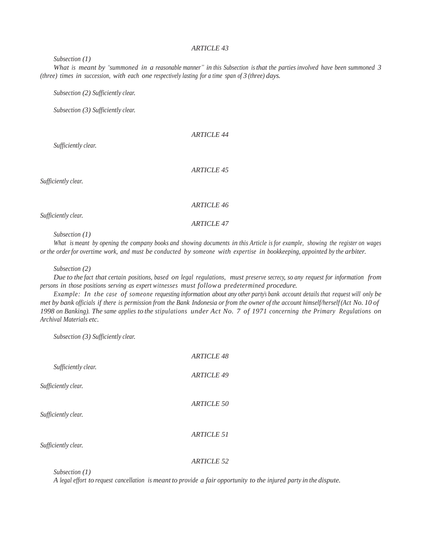#### *Subsection (1)*

What is meant by "summoned in a reasonable manner" in this Subsection is that the parties involved have been summoned 3 *(three) times in succession, with each one respectively lasting for a time span of 3 (three) days.*

*Subsection (2) Sufficiently clear.*

*Subsection (3) Sufficiently clear.*

#### *ARTICLE 44*

*Sufficiently clear.*

*ARTICLE 45*

*Sufficiently clear.*

#### *ARTICLE 46*

*Sufficiently clear.*

*ARTICLE 47*

*Subsection (1)*

What is meant by opening the company books and showing documents in this Article is for example, showing the register on wages *or the orderfor overtime work, and must be conducted by someone with expertise in bookkeeping, appointed by the arbiter.*

*Subsection (2)*

Due to the fact that certain positions, based on legal regulations, must preserve secrecy, so any request for information from *persons in those positions serving as expert witnesses must followa predetermined procedure.*

Example: In the case of someone requesting information about any other party's bank account details that request will only be met by bank officials if there is permission from the Bank Indonesia or from the owner of the account himself/herself (Act No. 10 of *1998 on Banking). The same applies to the stipulations under Act No. 7 of 1971 concerning the Primary Regulations on Archival Materials etc.*

*Subsection (3) Sufficiently clear.*

|                     | <b>ARTICLE 48</b> |
|---------------------|-------------------|
| Sufficiently clear. | <b>ARTICLE 49</b> |
| Sufficiently clear. | <b>ARTICLE 50</b> |
| Sufficiently clear. | ARTICLE 51        |
| Sufficiently clear. | ARTICLE 52        |

*Subsection (1)*

A legal effort to request cancellation is meant to provide a fair opportunity to the injured party in the dispute.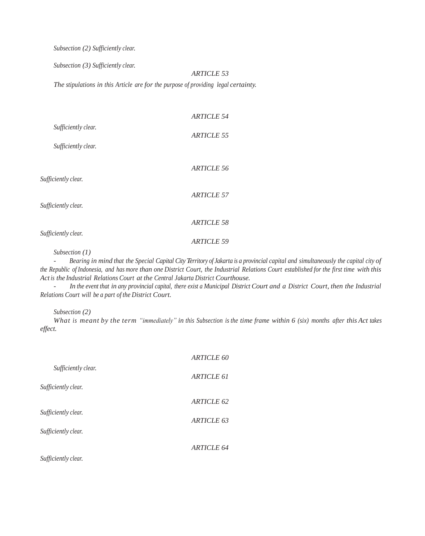*Subsection (2) Sufficiently clear.*

*Subsection (3) Sufficiently clear.*

#### *ARTICLE 53*

*The stipulations in this Article are for the purpose of providing legal certainty.*

|                     | <i>ARTICLE 54</i> |
|---------------------|-------------------|
| Sufficiently clear. |                   |
|                     | <b>ARTICLE 55</b> |
| Sufficiently clear. |                   |
|                     | ARTICLE 56        |
| Sufficiently clear. |                   |
|                     |                   |
| Sufficiently clear. | <b>ARTICLE 57</b> |
|                     |                   |
|                     | ARTICLE 58        |
| Sufficiently clear. | <b>ARTICLE 59</b> |
|                     |                   |

*Subsection (1)*

- Bearing in mind that the Special Capital City Territory of Jakarta is a provincial capital and simultaneously the capital city of the Republic of Indonesia, and has more than one District Court, the Industrial Relations Court established for the first time with this *Act is the Industrial Relations Court at the Central Jakarta District Courthouse.*

- In the event that in any provincial capital, there exist a Municipal District Court and a District Court, then the Industrial *Relations Court will be a part of the District Court.*

*Subsection (2)*

What is meant by the term "immediately" in this Subsection is the time frame within 6 (six) months after this Act takes *effect.*

|                     | <b>ARTICLE 60</b> |
|---------------------|-------------------|
| Sufficiently clear. | ARTICLE 61        |
| Sufficiently clear. |                   |
|                     | ARTICLE 62        |
| Sufficiently clear. |                   |
| Sufficiently clear. | ARTICLE 63        |
|                     | <b>ARTICLE 64</b> |
| Sufficiently clear. |                   |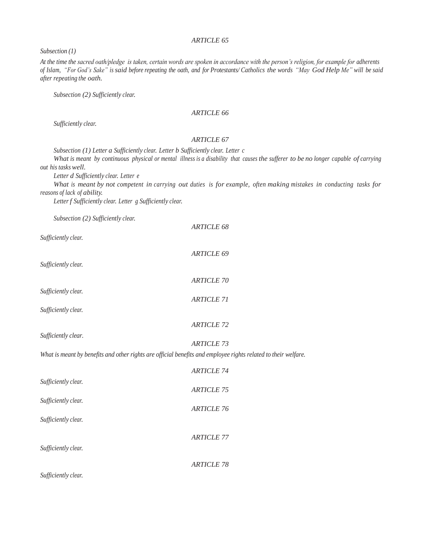*Subsection (1)*

*At the time the sacred oath/pledge is taken, certain words are spoken in accordance with the person's religion, for example for adherents*  of Islam, "For God's Sake" is said before repeating the oath, and for Protestants/ Catholics the words "May God Help Me" will be said *after repeating the oath.*

*Subsection (2) Sufficiently clear.*

#### *ARTICLE 66*

*Sufficiently clear.*

#### *ARTICLE 67*

*Subsection (1) Letter a Sufficiently clear. Letter b Sufficiently clear. Letter c*

What is meant by continuous physical or mental illness is a disability that causes the sufferer to be no longer capable of carrying *out his tasks well.*

*Letter d Sufficiently clear. Letter e*

What is meant by not competent in carrying out duties is for example, often making mistakes in conducting tasks for *reasons of lack of ability.*

*Letter f Sufficiently clear. Letter g Sufficiently clear.*

*Subsection (2) Sufficiently clear.*

|                                                                                                                | <b>ARTICLE 68</b> |
|----------------------------------------------------------------------------------------------------------------|-------------------|
| Sufficiently clear.                                                                                            |                   |
|                                                                                                                | <b>ARTICLE 69</b> |
| Sufficiently clear.                                                                                            |                   |
|                                                                                                                | <b>ARTICLE 70</b> |
| Sufficiently clear.                                                                                            | <b>ARTICLE 71</b> |
| Sufficiently clear.                                                                                            |                   |
|                                                                                                                | <b>ARTICLE 72</b> |
| Sufficiently clear.                                                                                            |                   |
|                                                                                                                | <b>ARTICLE 73</b> |
| What is meant by benefits and other rights are official benefits and employee rights related to their welfare. |                   |
|                                                                                                                | <b>ARTICLE 74</b> |
| Sufficiently clear.                                                                                            | <b>ARTICLE 75</b> |
| Sufficiently clear.                                                                                            |                   |
|                                                                                                                | <b>ARTICLE 76</b> |
| Sufficiently clear.                                                                                            |                   |
|                                                                                                                | <b>ARTICLE 77</b> |
| Sufficiently clear.                                                                                            |                   |
|                                                                                                                | <b>ARTICLE 78</b> |
| Sufficiently clear.                                                                                            |                   |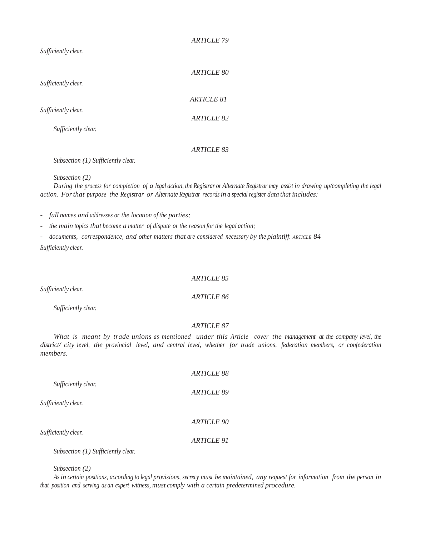*Sufficiently clear.*

| Sufficiently clear. | <b>ARTICLE 80</b> |
|---------------------|-------------------|
| Sufficiently clear. | <b>ARTICLE 81</b> |
| Sufficiently clear. | <b>ARTICLE 82</b> |
|                     | ARTICLE 83        |

*Subsection (1) Sufficiently clear.*

*Subsection (2)*

During the process for completion of a legal action, the Registrar or Alternate Registrar may assist in drawing up/completing the legal *action. Forthat purpose the Registrar or Alternate Registrar records in a special register data that includes:*

*ARTICLE 79*

*- full names and addresses or the location of the parties;*

*- the main topics that become a matter of dispute or the reason for the legal action;*

*- documents, correspondence, and other matters that are considered necessary by the plaintiff. ARTICLE 84*

*Sufficiently clear.*

#### *ARTICLE 85*

*ARTICLE 86*

*Sufficiently clear.*

*Sufficiently clear.*

#### *ARTICLE 87*

*What is meant by trade unions as mentioned under this Article cover the management at the company level, the district/ city level, the provincial level, and central level, whether for trade unions, federation members, or confederation members.*

|                     | <b>ARTICLE 88</b> |
|---------------------|-------------------|
| Sufficiently clear. | <b>ARTICLE 89</b> |
| Sufficiently clear. |                   |
|                     | <b>ARTICLE 90</b> |
| Sufficiently clear. | <i>ARTICLE 91</i> |

*Subsection (1) Sufficiently clear.*

*Subsection (2)*

As in certain positions, according to legal provisions, secrecy must be maintained, any request for information from the person in *that position and serving as an expert witness, must comply with a certain predetermined procedure.*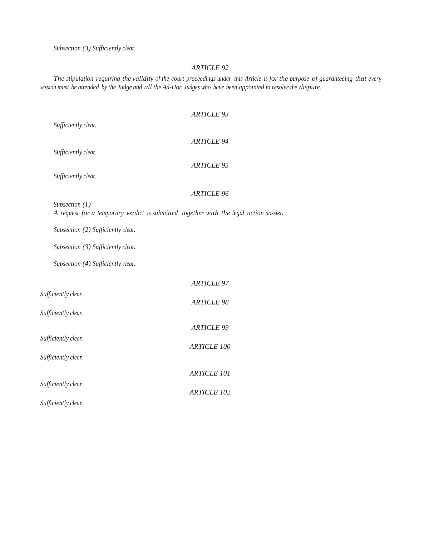*Subsection (3) Sufficiently clear.*

#### *ARTICLE 92*

The stipulation requiring the validity of the court proceedings under this Article is for the purpose of guaranteeing that every session must be attended by the Judge and all the Ad-Hoc Judges who have been appointed to resolve the dispute.

|                                                                                        | <b>ARTICLE 93</b>  |  |
|----------------------------------------------------------------------------------------|--------------------|--|
| Sufficiently clear.                                                                    |                    |  |
|                                                                                        | <b>ARTICLE 94</b>  |  |
| Sufficiently clear.                                                                    |                    |  |
| Sufficiently clear.                                                                    | <b>ARTICLE 95</b>  |  |
|                                                                                        |                    |  |
| Subsection $(1)$                                                                       | <b>ARTICLE 96</b>  |  |
| A request for a temporary verdict is submitted together with the legal action dossier. |                    |  |
| Subsection (2) Sufficiently clear.                                                     |                    |  |
| Subsection (3) Sufficiently clear.                                                     |                    |  |
| Subsection (4) Sufficiently clear.                                                     |                    |  |
|                                                                                        | <b>ARTICLE 97</b>  |  |
| Sufficiently clear.                                                                    | <b>ARTICLE 98</b>  |  |
| Sufficiently clear.                                                                    |                    |  |
|                                                                                        | <b>ARTICLE 99</b>  |  |
| Sufficiently clear.                                                                    |                    |  |
| Sufficiently clear.                                                                    | ARTICLE 100        |  |
|                                                                                        | <b>ARTICLE 101</b> |  |
| Sufficiently clear.                                                                    |                    |  |
|                                                                                        | <b>ARTICLE 102</b> |  |

*Sufficiently clear.*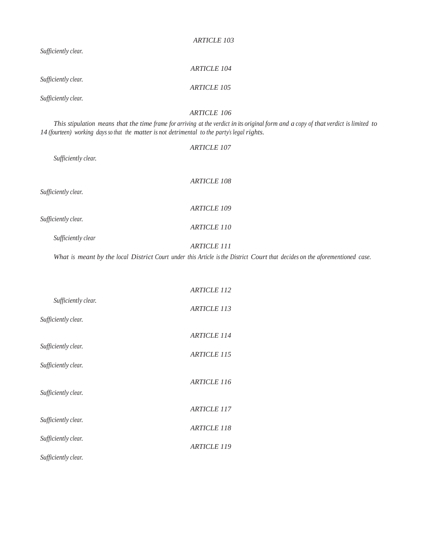|                                                                                                                             | <b>ARTICLE 103</b>                                                                                                                   |  |
|-----------------------------------------------------------------------------------------------------------------------------|--------------------------------------------------------------------------------------------------------------------------------------|--|
| Sufficiently clear.                                                                                                         |                                                                                                                                      |  |
|                                                                                                                             | <b>ARTICLE 104</b>                                                                                                                   |  |
| Sufficiently clear.                                                                                                         | <b>ARTICLE 105</b>                                                                                                                   |  |
| Sufficiently clear.                                                                                                         |                                                                                                                                      |  |
|                                                                                                                             | <b>ARTICLE 106</b>                                                                                                                   |  |
| 14 (fourteen) working days so that the matter is not detrimental to the party's legal rights.                               | This stipulation means that the time frame for arriving at the verdict in its original form and a copy of that verdict is limited to |  |
|                                                                                                                             | <b>ARTICLE 107</b>                                                                                                                   |  |
| Sufficiently clear.                                                                                                         |                                                                                                                                      |  |
|                                                                                                                             | <b>ARTICLE 108</b>                                                                                                                   |  |
| Sufficiently clear.                                                                                                         |                                                                                                                                      |  |
|                                                                                                                             | <b>ARTICLE 109</b>                                                                                                                   |  |
| Sufficiently clear.                                                                                                         | <b>ARTICLE 110</b>                                                                                                                   |  |
| Sufficiently clear                                                                                                          | <b>ARTICLE 111</b>                                                                                                                   |  |
| What is meant by the local District Court under this Article is the District Court that decides on the aforementioned case. |                                                                                                                                      |  |

|                     | <b>ARTICLE 112</b> |
|---------------------|--------------------|
| Sufficiently clear. | ARTICLE 113        |
| Sufficiently clear. |                    |
|                     | <b>ARTICLE 114</b> |
| Sufficiently clear. | <b>ARTICLE 115</b> |
| Sufficiently clear. |                    |
|                     | <b>ARTICLE 116</b> |
| Sufficiently clear. |                    |
| Sufficiently clear. | <b>ARTICLE 117</b> |
|                     | <b>ARTICLE 118</b> |
| Sufficiently clear. | <b>ARTICLE 119</b> |
| Sufficiently clear. |                    |